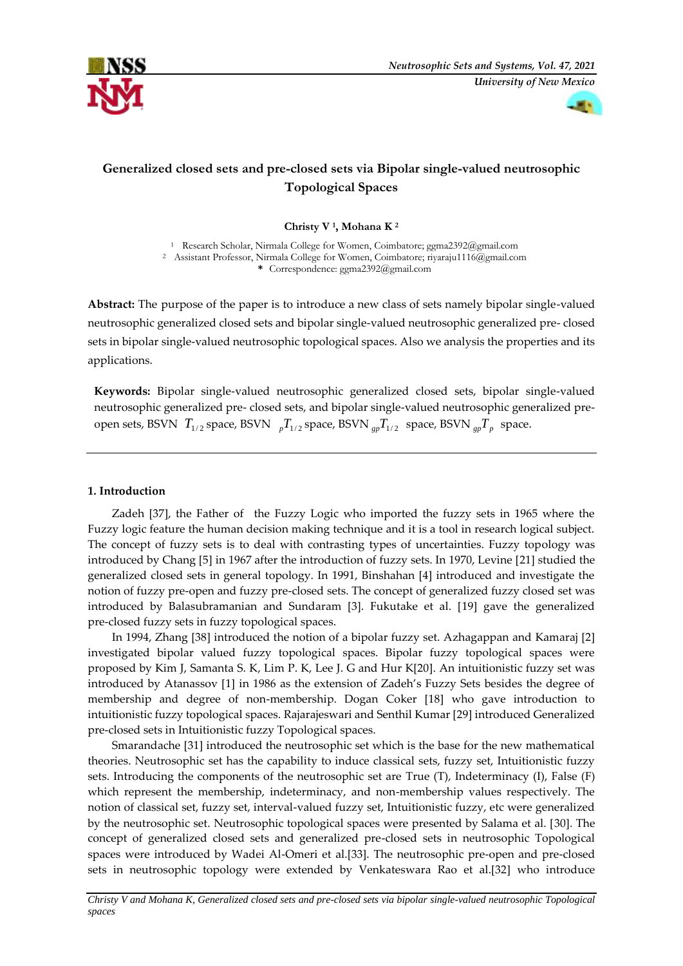



# **Generalized closed sets and pre-closed sets via Bipolar single-valued neutrosophic Topological Spaces**

**Christy V <sup>1</sup> , Mohana K <sup>2</sup>**

<sup>1</sup> Research Scholar, Nirmala College for Women, Coimbatore; [ggma2392@gmail.com](mailto:ggma2392@gmail.com) <sup>2</sup> Assistant Professor, Nirmala College for Women, Coimbatore[; riyaraju1116@gmail.com](mailto:riyaraju1116@gmail.com) **\*** Correspondence[: ggma2392@gmail.com](mailto:ggma2392@gmail.com)

**Abstract:** The purpose of the paper is to introduce a new class of sets namely bipolar single-valued neutrosophic generalized closed sets and bipolar single-valued neutrosophic generalized pre- closed sets in bipolar single-valued neutrosophic topological spaces. Also we analysis the properties and its applications.

**Keywords:** Bipolar single-valued neutrosophic generalized closed sets, bipolar single-valued neutrosophic generalized pre- closed sets, and bipolar single-valued neutrosophic generalized preopen sets, BSVN  $T_{1/2}$  space, BSVN  ${}_{p}T_{1/2}$  space, BSVN  ${}_{gp}T_{1/2}$  space, BSVN  ${}_{gp}T_{p}$  space.

## **1. Introduction**

Zadeh [37], the Father of the Fuzzy Logic who imported the fuzzy sets in 1965 where the Fuzzy logic feature the human decision making technique and it is a tool in research logical subject. The concept of fuzzy sets is to deal with contrasting types of uncertainties. Fuzzy topology was introduced by Chang [5] in 1967 after the introduction of fuzzy sets. In 1970, Levine [21] studied the generalized closed sets in general topology. In 1991, Binshahan [4] introduced and investigate the notion of fuzzy pre-open and fuzzy pre-closed sets. The concept of generalized fuzzy closed set was introduced by Balasubramanian and Sundaram [3]. Fukutake et al. [19] gave the generalized pre-closed fuzzy sets in fuzzy topological spaces.

In 1994, Zhang [38] introduced the notion of a bipolar fuzzy set. Azhagappan and Kamaraj [2] investigated bipolar valued fuzzy topological spaces. Bipolar fuzzy topological spaces were proposed by Kim J, Samanta S. K, Lim P. K, Lee J. G and Hur K[20]. An intuitionistic fuzzy set was introduced by Atanassov [1] in 1986 as the extension of Zadeh's Fuzzy Sets besides the degree of membership and degree of non-membership. Dogan Coker [18] who gave introduction to intuitionistic fuzzy topological spaces. Rajarajeswari and Senthil Kumar [29] introduced Generalized pre-closed sets in Intuitionistic fuzzy Topological spaces.

Smarandache [31] introduced the neutrosophic set which is the base for the new mathematical theories. Neutrosophic set has the capability to induce classical sets, fuzzy set, Intuitionistic fuzzy sets. Introducing the components of the neutrosophic set are True (T), Indeterminacy (I), False (F) which represent the membership, indeterminacy, and non-membership values respectively. The notion of classical set, fuzzy set, interval-valued fuzzy set, Intuitionistic fuzzy, etc were generalized by the neutrosophic set. Neutrosophic topological spaces were presented by Salama et al. [30]. The concept of generalized closed sets and generalized pre-closed sets in neutrosophic Topological spaces were introduced by Wadei Al-Omeri et al.[33]. The neutrosophic pre-open and pre-closed sets in neutrosophic topology were extended by Venkateswara Rao et al.[32] who introduce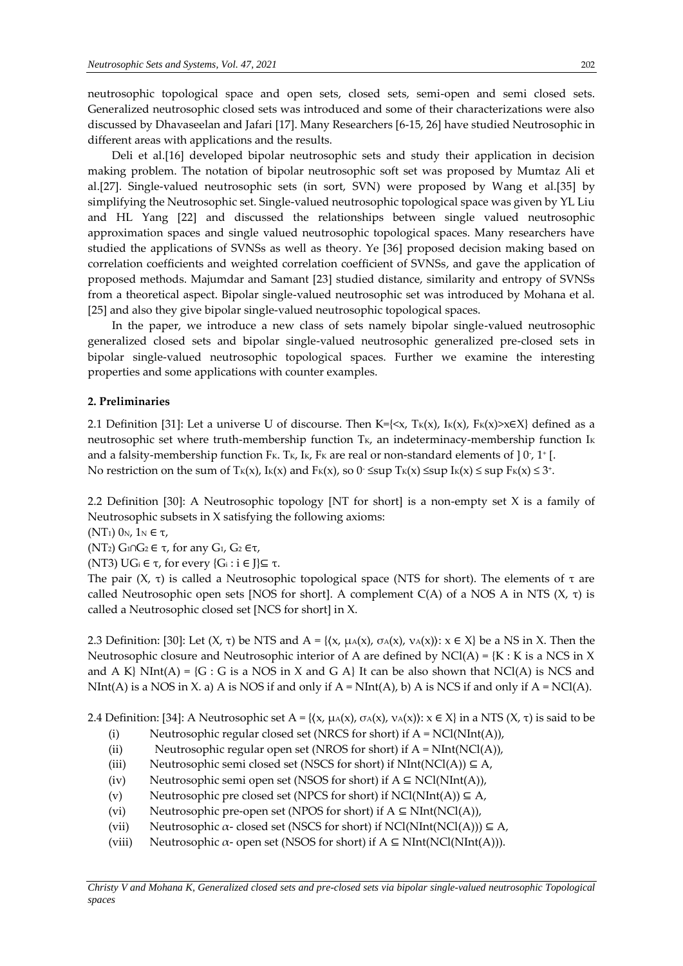neutrosophic topological space and open sets, closed sets, semi-open and semi closed sets. Generalized neutrosophic closed sets was introduced and some of their characterizations were also discussed by Dhavaseelan and Jafari [17]. Many Researchers [6-15, 26] have studied Neutrosophic in different areas with applications and the results.

Deli et al.[16] developed bipolar neutrosophic sets and study their application in decision making problem. The notation of bipolar neutrosophic soft set was proposed by Mumtaz Ali et al.[27]. Single-valued neutrosophic sets (in sort, SVN) were proposed by Wang et al.[35] by simplifying the Neutrosophic set. Single-valued neutrosophic topological space was given by YL Liu and HL Yang [22] and discussed the relationships between single valued neutrosophic approximation spaces and single valued neutrosophic topological spaces. Many researchers have studied the applications of SVNSs as well as theory. Ye [36] proposed decision making based on correlation coefficients and weighted correlation coefficient of SVNSs, and gave the application of proposed methods. Majumdar and Samant [23] studied distance, similarity and entropy of SVNSs from a theoretical aspect. Bipolar single-valued neutrosophic set was introduced by Mohana et al. [25] and also they give bipolar single-valued neutrosophic topological spaces.

In the paper, we introduce a new class of sets namely bipolar single-valued neutrosophic generalized closed sets and bipolar single-valued neutrosophic generalized pre-closed sets in bipolar single-valued neutrosophic topological spaces. Further we examine the interesting properties and some applications with counter examples.

### **2. Preliminaries**

2.1 Definition [31]: Let a universe U of discourse. Then K={ $\langle x, T_K(x), I_K(x), F_K(x) \rangle \times \in X$ } defined as a neutrosophic set where truth-membership function  $T_K$ , an indeterminacy-membership function  $I_K$ and a falsity-membership function Fk. Tk, Ik, Fk are real or non-standard elements of ]  $0$  ,  $1$   $\mathsf{[}$  . No restriction on the sum of Tk(x), Ik(x) and Fk(x), so  $0$  ≤sup Tk(x) ≤sup Ik(x) ≤ sup Fk(x) ≤ 3+.

2.2 Definition [30]: A Neutrosophic topology [NT for short] is a non-empty set X is a family of Neutrosophic subsets in X satisfying the following axioms:

(NT<sub>1</sub>)  $0_N$ ,  $1_N \in τ$ ,

(NT<sub>2</sub>)  $G_1 ∩ G_2 ∈ τ$ , for any  $G_1$ ,  $G_2 ∈ τ$ ,

(NT3) UG<sub>i</sub>  $\in$  τ, for every {G<sub>i</sub>: **i**  $\in$  J}⊆ τ.

The pair (X, τ) is called a Neutrosophic topological space (NTS for short). The elements of τ are called Neutrosophic open sets [NOS for short]. A complement  $C(A)$  of a NOS A in NTS  $(X, \tau)$  is called a Neutrosophic closed set [NCS for short] in X.

2.3 Definition: [30]: Let  $(X, \tau)$  be NTS and A = { $\{x, \mu_A(x), \sigma_A(x), \nu_A(x)\}$ :  $x \in X$ } be a NS in X. Then the Neutrosophic closure and Neutrosophic interior of A are defined by  $NCl(A) = {K : K$  is a NCS in X and A K} NInt(A) =  $\{G : G$  is a NOS in X and G A} It can be also shown that NCl(A) is NCS and NInt(A) is a NOS in X. a) A is NOS if and only if  $A = NInt(A)$ , b) A is NCS if and only if  $A = NCl(A)$ .

2.4 Definition: [34]: A Neutrosophic set A = { $(x, \mu_A(x), \sigma_A(x), \nu_A(x))$ :  $x \in X$ } in a NTS  $(X, \tau)$  is said to be

- (i) Neutrosophic regular closed set (NRCS for short) if  $A = NCl(NInt(A)),$
- (ii) Neutrosophic regular open set (NROS for short) if  $A = NInt(NCl(A)),$
- (iii) Neutrosophic semi closed set (NSCS for short) if  $NInt(NCl(A)) \subseteq A$ ,
- (iv) Neutrosophic semi open set (NSOS for short) if  $A \subseteq NCl(NInt(A)),$
- (v) Neutrosophic pre closed set (NPCS for short) if  $NCl(NInt(A)) \subseteq A$ ,
- (vi) Neutrosophic pre-open set (NPOS for short) if  $A \subseteq NInt(NCl(A)),$
- (vii) Neutrosophic  $\alpha$  closed set (NSCS for short) if NCl(NInt(NCl(A)))  $\subseteq$  A,
- (viii) Neutrosophic  $\alpha$  open set (NSOS for short) if  $A \subseteq NInt(NCl(NInt(A))).$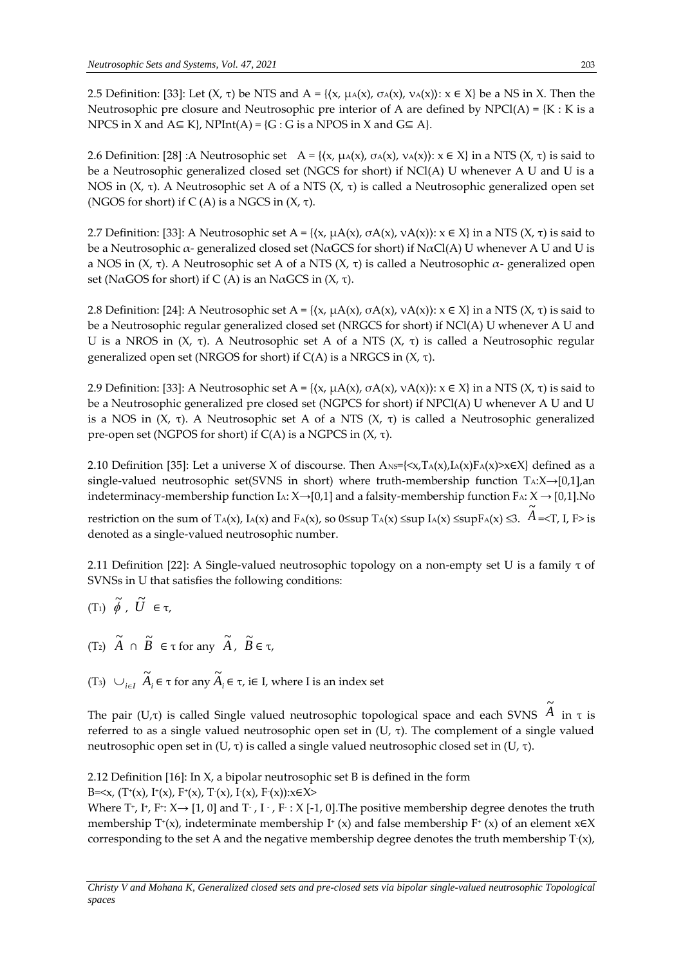2.5 Definition: [33]: Let (X, τ) be NTS and A = { $(x, \mu_A(x), \sigma_A(x), \nu_A(x))$ :  $x \in X$ } be a NS in X. Then the Neutrosophic pre closure and Neutrosophic pre interior of A are defined by  $NPCl(A) = \{K : K \text{ is a}$ NPCS in X and  $A \subseteq K$ , NPInt(A) = {G : G is a NPOS in X and  $G \subseteq A$ }.

2.6 Definition: [28] :A Neutrosophic set A = { $(x, \mu_A(x), \sigma_A(x), \nu_A(x))$ :  $x \in X$ } in a NTS  $(X, \tau)$  is said to be a Neutrosophic generalized closed set (NGCS for short) if NCl(A) U whenever A U and U is a NOS in (X, τ). A Neutrosophic set A of a NTS (X, τ) is called a Neutrosophic generalized open set (NGOS for short) if C (A) is a NGCS in  $(X, \tau)$ .

2.7 Definition: [33]: A Neutrosophic set A = { $(x, \mu A(x), \sigma A(x), \nu A(x))$ :  $x \in X$ } in a NTS  $(X, \tau)$  is said to be a Neutrosophic  $\alpha$ - generalized closed set (N $\alpha$ GCS for short) if N $\alpha$ Cl(A) U whenever A U and U is a NOS in (X, τ). A Neutrosophic set A of a NTS (X, τ) is called a Neutrosophic  $\alpha$ - generalized open set (N $\alpha$ GOS for short) if C(A) is an N $\alpha$ GCS in (X,  $\tau$ ).

2.8 Definition: [24]: A Neutrosophic set  $A = \{(x, \mu A(x), \sigma A(x), \nu A(x)) : x \in X\}$  in a NTS  $(X, \tau)$  is said to be a Neutrosophic regular generalized closed set (NRGCS for short) if NCl(A) U whenever A U and U is a NROS in (X, τ). A Neutrosophic set A of a NTS (X, τ) is called a Neutrosophic regular generalized open set (NRGOS for short) if  $C(A)$  is a NRGCS in  $(X, τ)$ .

2.9 Definition: [33]: A Neutrosophic set A = { $(x, \mu A(x), \sigma A(x), \nu A(x))$ :  $x \in X$ } in a NTS  $(X, \tau)$  is said to be a Neutrosophic generalized pre closed set (NGPCS for short) if NPCl(A) U whenever A U and U is a NOS in  $(X, τ)$ . A Neutrosophic set A of a NTS  $(X, τ)$  is called a Neutrosophic generalized pre-open set (NGPOS for short) if C(A) is a NGPCS in (X, τ).

2.10 Definition [35]: Let a universe X of discourse. Then  $A_{NS} = \{x, T_A(x), I_A(x)F_A(x) > x \in X\}$  defined as a single-valued neutrosophic set(SVNS in short) where truth-membership function  $T_A: X \rightarrow [0,1]$ ,an indeterminacy-membership function IA:  $X \rightarrow [0,1]$  and a falsity-membership function FA:  $X \rightarrow [0,1]$ . No

restriction on the sum of T<sub>A</sub>(x), I<sub>A</sub>(x) and F<sub>A</sub>(x), so 0≤sup T<sub>A</sub>(x) ≤sup I<sub>A</sub>(x) ≤supF<sub>A</sub>(x) ≤3.  $\widetilde{A}$ =<T, I, F> is denoted as a single-valued neutrosophic number.

2.11 Definition [22]: A Single-valued neutrosophic topology on a non-empty set U is a family τ of SVNSs in U that satisfies the following conditions:

$$
(\mathrm{T}_1) \ \widetilde{\phi} \ , \ \widetilde{U} \ \in \tau,
$$

- $(T_2)$   $\tilde{A}$ ∩  $\widetilde{B}$  $\in \tau$  for any  $\widetilde{A}$ ,  $\widetilde{B}$ ∈ τ,
- (T<sub>3</sub>) ∪<sub>*i∈I*</sub>  $\widetilde{A}_i$  ∈ τ for any  $\widetilde{A}_i$  ∈ τ, i∈ I, where I is an index set

The pair (U,τ) is called Single valued neutrosophic topological space and each SVNS  $\,\tilde{A}$ in τ is referred to as a single valued neutrosophic open set in  $(U, τ)$ . The complement of a single valued neutrosophic open set in (U, τ) is called a single valued neutrosophic closed set in (U, τ).

2.12 Definition [16]: In X, a bipolar neutrosophic set B is defined in the form

B=<x, (T+(x), I+(x), F+(x), T-(x), I-(x), F-(x)):x∈X>

Where T<sup>+</sup>, I<sup>+</sup>, F<sup>+</sup>: X→ [1, 0] and T<sup>-</sup> , I <sup>-</sup> , F<sup>-</sup> : X [-1, 0].The positive membership degree denotes the truth membership T<sup>+</sup>(x), indeterminate membership I<sup>+</sup> (x) and false membership F<sup>+</sup> (x) of an element  $x \in X$ corresponding to the set A and the negative membership degree denotes the truth membership  $T(x)$ ,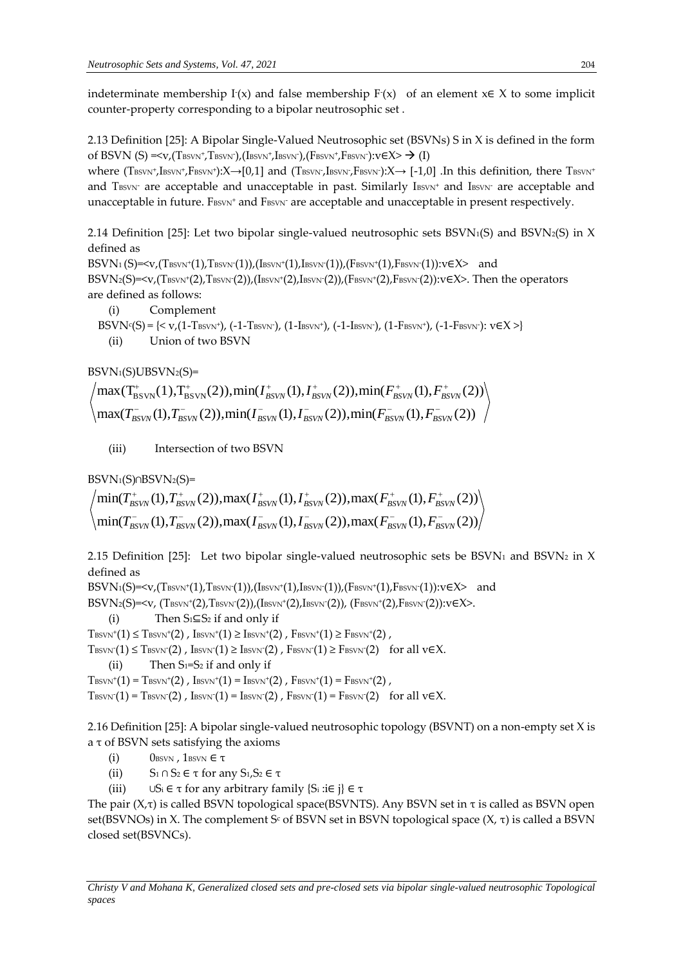indeterminate membership  $I(x)$  and false membership  $F(x)$  of an element  $x∈ X$  to some implicit counter-property corresponding to a bipolar neutrosophic set .

2.13 Definition [25]: A Bipolar Single-Valued Neutrosophic set (BSVNs) S in X is defined in the form of BSVN (S) =<v,(Tbsvn+,Tbsvn-),(Ibsvn+,Ibsvn-),(Fbsvn+,Fbsvn-):v $\epsilon \times \rightarrow (I)$ 

where  $(\text{Tsswr}', \text{Isswr}', \text{Fsswr}'): X \rightarrow [0,1]$  and  $(\text{Tsswr}, \text{Isswr}, \text{Fsswr}): X \rightarrow [-1,0]$  .In this definition, there  $\text{Tsswr}$ and TBSVN<sup>-</sup> are acceptable and unacceptable in past. Similarly IBSVN<sup>+</sup> and IBSVN<sup>-</sup> are acceptable and unacceptable in future. FBSVN<sup>+</sup> and FBSVN<sup>-</sup> are acceptable and unacceptable in present respectively.

2.14 Definition [25]: Let two bipolar single-valued neutrosophic sets  $BSVN<sub>1</sub>(S)$  and  $BSVN<sub>2</sub>(S)$  in X defined as

 $\text{BSVN}_1\text{(S)}\text{=&v,(Tbsvn+(1),Tbsvn-(1)),(Ibsvn+(1),Ibsvn-(1)),(Fbsvn+(1),Fbsvn-(1)):v\in\mathsf{X}\text{=}\text{ and}}$  $\mathrm{BSVN2}(S)$ =<v,(T $\mathrm{Bsvw^+(2)},\mathrm{Tsvw^+(2)}$ ),( $\mathrm{Isswv^+(2)},\mathrm{Isswv^+(2)}$ ),(F $\mathrm{Bsvw^+(2)}$ ,F $\mathrm{Bsvw^-(2)}$ ):v $\in$ X>. Then the operators are defined as follows:

(i) Complement

BSVN<sup>c</sup>(S) = {< v,(1-Tbsvn<sup>+</sup>), (-1-Tbsvn<sup>-</sup>), (1-Ibsvn<sup>+</sup>), (-1-Ibsvn<sup>-</sup>), (1-Fbsvn<sup>+</sup>), (-1-Fbsvn<sup>-</sup>): v $\in$ X >} (ii) Union of two BSVN

```
BSVN_1(S)UBSVN_2(S) =
```

```
\max(T_{BSVN}^-(1), T_{BSVN}^-(2)), \min(T_{BSVN}^-(1), T_{BSVN}^-(2)), \min(T_{BSVN}^-(1), F_{BSVN}^-(2))\max(T_{\rm BSVN}^+(1),T_{\rm BSVN}^+(2)),\min(T_{\rm BSVN}^+(1),T_{\rm BSVN}^+(2)),\min(F_{\rm BSVN}^+(1),F_{\rm BSVN}^+(2))T = (1) T^{-} (2) min(I = (1) I = (2)) min(E = (1) E
           ^{+} (1) T<sup>+</sup> (2)) min(I<sup>+</sup> (1) I<sup>+</sup> (2)) min(E<sup>+</sup> (1) E<sup>+</sup>
          B_{\text{SVN}}(1), B_{\text{SVN}}(2), \lim_{\text{H}}(1), B_{\text{SVN}}(1), B_{\text{SVN}}(2), \lim_{\text{H}}(1), B_{\text{SVN}}(1), B_{\text{SVN}}(2)BSVN BBSVN BBSVN BBSVN BBSVNT_{BSVN}^{-}(1), T_{BSVN}^{-}(2)), \min(T_{BSVN}^{-}(1), T_{BSVN}^{-}(2)), \min(F_{BSVN}^{-}(1), F_{BSVN}^{-}(2)I_{BSVN}^+(1), I_{BSVN}^+(2)), \min(F_{BSVN}^+(1), F_{BSVN}^+(2)
```
(iii) Intersection of two BSVN

 $BSVN_1(S) \cap BSVN_2(S)$ =

$$
\left\langle \min(T_{BSVN}^+(1), T_{BSVN}^+(2)), \max(T_{BSVN}^+(1), T_{BSVN}^+(2)), \max(F_{BSVN}^+(1), F_{BSVN}^+(2)) \right\rangle
$$
  

$$
\left\langle \min(T_{BSVN}^-(1), T_{BSVN}^-(2)), \max(T_{BSVN}^-(1), T_{BSVN}^-(2)), \max(F_{BSVN}^-(1), F_{BSVN}^-(2)) \right\rangle
$$

2.15 Definition [25]: Let two bipolar single-valued neutrosophic sets be BSVN<sub>1</sub> and BSVN<sub>2</sub> in X defined as

 $\mathrm{BSVN1}(S)$ =<v,(T $\mathrm{BSVN}^+(1)$ ,T $\mathrm{BSVN}^-(1)$ ),(I $\mathrm{BSVN}^+(1)$ ,I $\mathrm{BSVN}^-(1)$ ),(F $\mathrm{BSVN}^+(1)$ ,F $\mathrm{BSVN}^-(1)$ ):v $\in$ X> and

 $\text{BSVN2}(\text{S}){=}\text{&\vee}, (\text{Tsvw*}(2),\text{Tsvw}(2)), (\text{Isvw*}(2),\text{Isvw}(2)), (\text{Fsvw*}(2),\text{Fsvw}(2)){:}\text{v}\in\text{X}{>}$ .

(i) Then  $S_1 \subseteq S_2$  if and only if

 $\mathrm{T}_{\mathrm{BSVN}^+}\!(1) \leq \mathrm{T}_{\mathrm{BSVN}^+}\!(2)$  ,  $\mathrm{Isswn^+}\!(1) \geq \mathrm{Isswn^+}\!(2)$  ,  $\mathrm{F}_{\mathrm{BSVN}^+}\!(1) \geq \mathrm{F}_{\mathrm{BSVN}^+}\!(2)$  ,

 $T_{\text{BSVN}}(1) \leq T_{\text{BSVN}}(2)$  ,  $\text{Isswn}(1) \geq \text{Isswn}(2)$  ,  $\text{Fsswn}(1) \geq \text{Fsswn}(2)$  for all  $\text{v} \in X$ .

(ii) Then  $S_1=S_2$  if and only if

 $\mathrm{T}_{\mathrm{BSVN}^+}\!(1)$  =  $\mathrm{T}_{\mathrm{BSVN}^+}\!(2)$  ,  $\mathrm{Isswn^+}\!(1)$  =  $\mathrm{Isswn^+}\!(2)$  ,  $\mathrm{F}_{\mathrm{BSVN}^+}\!(1)$  =  $\mathrm{F}_{\mathrm{BSVN}^+}\!(2)$  ,

 $T_{\text{BSVN}}(1)$  =  $T_{\text{BSVN}}(2)$  ,  $I_{\text{BSVN}}(1)$  =  $I_{\text{BSVN}}(2)$  ,  $F_{\text{BSVN}}(1)$  =  $F_{\text{BSVN}}(2)$  for all v $\in$ X.

2.16 Definition [25]: A bipolar single-valued neutrosophic topology (BSVNT) on a non-empty set X is a τ of BSVN sets satisfying the axioms

- (i)  $0_{\text{BSVN}}$ ,  $1_{\text{BSVN}} \in \tau$
- (ii)  $S_1 \cap S_2 \in \tau$  for any  $S_1, S_2 \in \tau$
- (iii)  $\cup S_i \in \tau$  for any arbitrary family  $\{S_i : i \in j\} \in \tau$

The pair  $(X,\tau)$  is called BSVN topological space(BSVNTS). Any BSVN set in  $\tau$  is called as BSVN open set(BSVNOs) in X. The complement S<sup>c</sup> of BSVN set in BSVN topological space  $(X, \tau)$  is called a BSVN closed set(BSVNCs).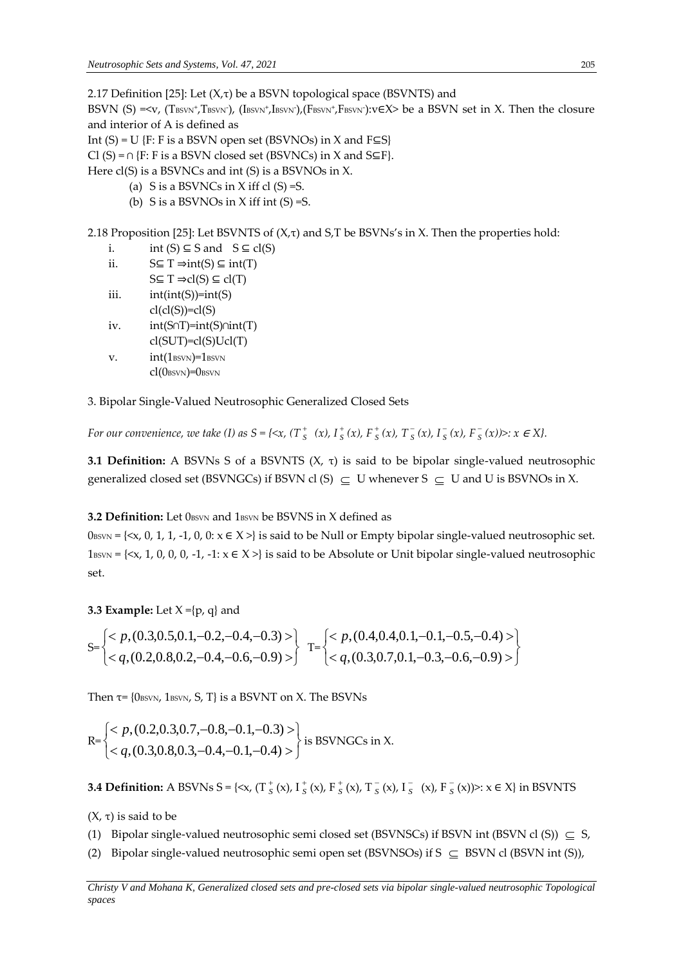2.17 Definition [25]: Let  $(X, \tau)$  be a BSVN topological space (BSVNTS) and

BSVN (S) =<v, (T $_{\rm BSVN}$ +,T $_{\rm BSVN}$ +, (I $_{\rm BSVN}$ +,I $_{\rm BSVN}$ +,F $_{\rm BSVN}$ +,F $_{\rm BSVN}$ +):v $\in$ X> be a BSVN set in X. Then the closure and interior of A is defined as

Int  $(S) = U$  {F: F is a BSVN open set (BSVNOs) in X and F $\subseteq S$ }

Cl (S) =  $\cap$  {F: F is a BSVN closed set (BSVNCs) in X and S⊆F}.

Here cl(S) is a BSVNCs and int (S) is a BSVNOs in X.

- (a) S is a BSVNCs in X iff cl  $(S) = S$ .
- (b) S is a BSVNOs in X iff int  $(S) = S$ .

2.18 Proposition [25]: Let BSVNTS of  $(X,\tau)$  and S,T be BSVNs's in X. Then the properties hold:

- i. int  $(S) \subseteq S$  and  $S \subseteq cl(S)$
- ii.  $S \subseteq T \Rightarrow int(S) \subseteq int(T)$
- $S \subseteq T \Rightarrow cl(S) \subseteq cl(T)$ iii.  $int(int(S))=int(S)$
- $cl(cl(S))=cl(S)$
- iv. int(S∩T)=int(S)∩int(T)  $cl(SUT)=cl(S)Ucl(T)$
- v.  $int(1_{\text{BSVN}})=1_{\text{BSVN}}$ 
	- $cl(O_{BSVN})=O_{BSVN}$

3. Bipolar Single-Valued Neutrosophic Generalized Closed Sets

*For our convenience, we take (I) as S = {<x, (T*  $^+_s$ )  $\frac{1}{s}$  (*x*),  $I_{S}^{+}$  $S^+$  (x),  $F^+$  $\frac{1}{s}(x)$ , T<sub>s</sub>  $\frac{1}{s}(x)$ ,  $I_{S}^{-}$  $\frac{1}{s}(x)$ ,  $F\frac{1}{s}$  $S(x)$ :  $x \in X$ .

**3.1 Definition:** A BSVNs S of a BSVNTS (X, τ) is said to be bipolar single-valued neutrosophic generalized closed set (BSVNGCs) if BSVN cl (S)  $\subseteq U$  whenever S  $\subseteq U$  and U is BSVNOs in X.

## **3.2 Definition:** Let 0BSVN and 1BSVN be BSVNS in X defined as

 $0_{\text{BSVN}} = \{ \langle x, 0, 1, 1, -1, 0, 0 \rangle : x \in X \rangle \}$  is said to be Null or Empty bipolar single-valued neutrosophic set. 1BSVN = { $\langle x, 1, 0, 0, 0, -1, -1: x \in X \rangle$ } is said to be Absolute or Unit bipolar single-valued neutrosophic set.

## **3.3 Example:** Let  $X = \{p, q\}$  and

$$
S = \begin{cases} < p, (0.3, 0.5, 0.1, -0.2, -0.4, -0.3) > \\ < q, (0.2, 0.8, 0.2, -0.4, -0.6, -0.9) > \end{cases} \quad T = \begin{cases} < p, (0.4, 0.4, 0.1, -0.1, -0.5, -0.4) > \\ < q, (0.3, 0.7, 0.1, -0.3, -0.6, -0.9) > \end{cases}
$$

Then  $\tau$ = {0 $_{\text{BSVN}}$ , 1 $_{\text{BSVN}}$ , S, T} is a BSVNT on X. The BSVNs

$$
\mathbf{R} = \begin{cases} < p, (0.2, 0.3, 0.7, -0.8, -0.1, -0.3) > \\ < q, (0.3, 0.8, 0.3, -0.4, -0.1, -0.4) > \end{cases}
$$
 is BSWNGCs in X.

**3.4 Definition:** A BSVNs S = {< $\times$ , (T  $^+_S$  $S^+$  (x), I  $S^ _{S}^{+}$  (x), F  $_{S}^{+}$  $S^+$  (x), T  $S^ S^-(x)$ , I $S$  $S^-(x)$ , F $S^ S<sub>S</sub>(x)$ )>:  $x \in X$ } in BSVNTS

( $X$ , τ) is said to be

- (1) Bipolar single-valued neutrosophic semi closed set (BSVNSCs) if BSVN int (BSVN cl (S))  $\subseteq$  S,
- (2) Bipolar single-valued neutrosophic semi open set (BSVNSOs) if  $S \subseteq BSVN$  cl (BSVN int (S)),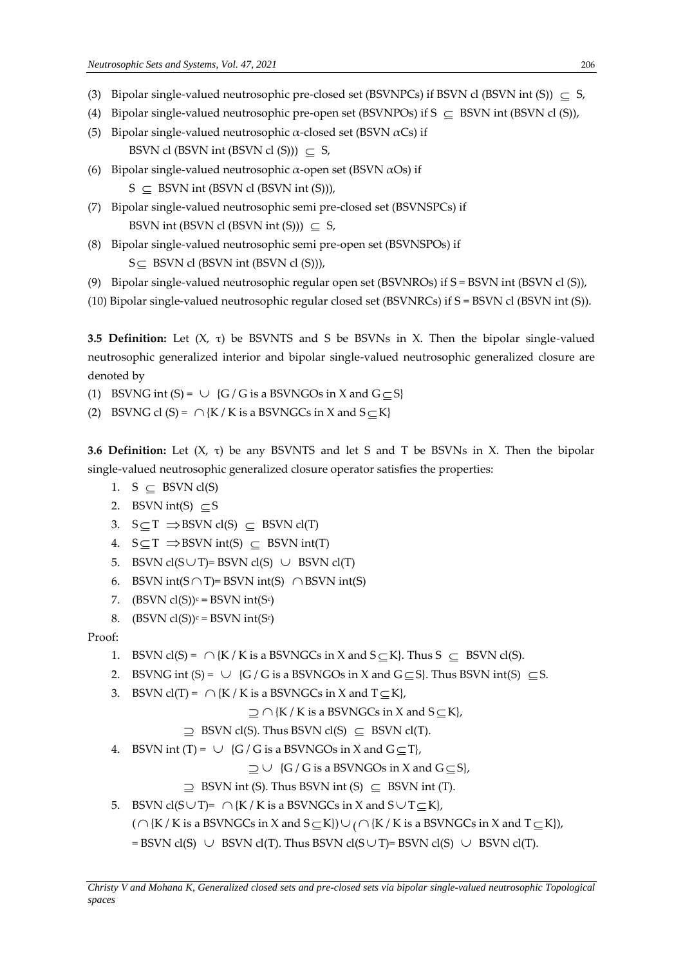- (3) Bipolar single-valued neutrosophic pre-closed set (BSVNPCs) if BSVN cl (BSVN int (S))  $\subseteq$  S,
- (4) Bipolar single-valued neutrosophic pre-open set (BSVNPOs) if  $S \subseteq BSWN$  int (BSVN cl (S)),
- (5) Bipolar single-valued neutrosophic  $\alpha$ -closed set (BSVN  $\alpha$ Cs) if BSVN cl (BSVN int (BSVN cl (S)))  $\subseteq$  S,
- (6) Bipolar single-valued neutrosophic  $\alpha$ -open set (BSVN  $\alpha$ Os) if  $S \subseteq BSWN$  int (BSVN cl (BSVN int (S))),
- (7) Bipolar single-valued neutrosophic semi pre-closed set (BSVNSPCs) if BSVN int (BSVN cl (BSVN int (S)))  $\subseteq$  S,
- (8) Bipolar single-valued neutrosophic semi pre-open set (BSVNSPOs) if  $S \subseteq BSWN$  cl (BSVN int (BSVN cl (S))),
- (9) Bipolar single-valued neutrosophic regular open set (BSVNROs) if S = BSVN int (BSVN cl (S)),
- (10) Bipolar single-valued neutrosophic regular closed set (BSVNRCs) if S = BSVN cl (BSVN int (S)).

**3.5 Definition:** Let (X, τ) be BSVNTS and S be BSVNs in X. Then the bipolar single-valued neutrosophic generalized interior and bipolar single-valued neutrosophic generalized closure are denoted by

- (1) BSVNG int (S) =  $\cup$  {G / G is a BSVNGOs in X and G  $\subseteq$  S}
- (2) BSVNG cl (S) =  $\bigcap \{K / K \text{ is a BSVNGCs in } X \text{ and } S \subseteq K\}$

**3.6 Definition:** Let (X, τ) be any BSVNTS and let S and T be BSVNs in X. Then the bipolar single-valued neutrosophic generalized closure operator satisfies the properties:

- 1. S  $\subseteq$  BSVN cl(S)
- 2. BSVN int(S)  $\subseteq$ S
- 3.  $S \subseteq T \implies BSVN \text{ cl}(S) \subseteq BSVN \text{ cl}(T)$
- 4.  $S \subseteq T \implies BSVN \text{ int}(S) \subseteq BSVN \text{ int}(T)$
- 5. BSVN  $cl(S \cup T)$ = BSVN  $cl(S) \cup BSWN cl(T)$
- 6. BSVN int( $S \cap T$ )= BSVN int(S)  $\cap$  BSVN int(S)
- 7. (BSVN  $cl(S)$ ) $c = BSVN$  int(S $c$ )
- 8. (BSVN  $cl(S)$ )<sup>c</sup> = BSVN int(S<sup>c</sup>)

Proof:

- 1. BSVN cl(S) =  $\bigcap \{K/K \text{ is a BSVNGCs in } X \text{ and } S \subseteq K\}$ . Thus  $S \subseteq BSVN$  cl(S).
- 2. BSVNG int (S) =  $\cup$  {G / G is a BSVNGOs in X and G  $\subseteq$  S}. Thus BSVN int(S)  $\subseteq$  S.
- 3. BSVN  $cl(T) = \bigcap \{K / K \text{ is a BSVNGCs in } X \text{ and } T \subseteq K\},\$

```
\supseteq \bigcap \{K/K \text{ is a BSVNGCs in } X \text{ and } S \subseteq K\},
```
- $\supseteq$  BSVN cl(S). Thus BSVN cl(S)  $\subseteq$  BSVN cl(T).
- 4. BSVN int (T) =  $\cup$  {G / G is a BSVNGOs in X and G  $\subseteq$  T},

 $\supseteq \cup \{G/G \text{ is a BSVNGOs in } X \text{ and } G \subseteq S\},$ 

- $\supseteq$  BSVN int (S). Thus BSVN int (S)  $\subseteq$  BSVN int (T).
- 5. BSVN cl(S $\cup$ T)=  $\cap$ {K / K is a BSVNGCs in X and S $\cup$ T $\subseteq$ K},

(  $\cap$  {K / K is a BSVNGCs in X and S  $\subseteq$  K})  $\cup$  (  $\cap$  {K / K is a BSVNGCs in X and T  $\subseteq$  K}),

= BSVN cl(S)  $\cup$  BSVN cl(T). Thus BSVN cl(S $\cup$ T)= BSVN cl(S)  $\cup$  BSVN cl(T).

*Christy V and Mohana K, Generalized closed sets and pre-closed sets via bipolar single-valued neutrosophic Topological spaces*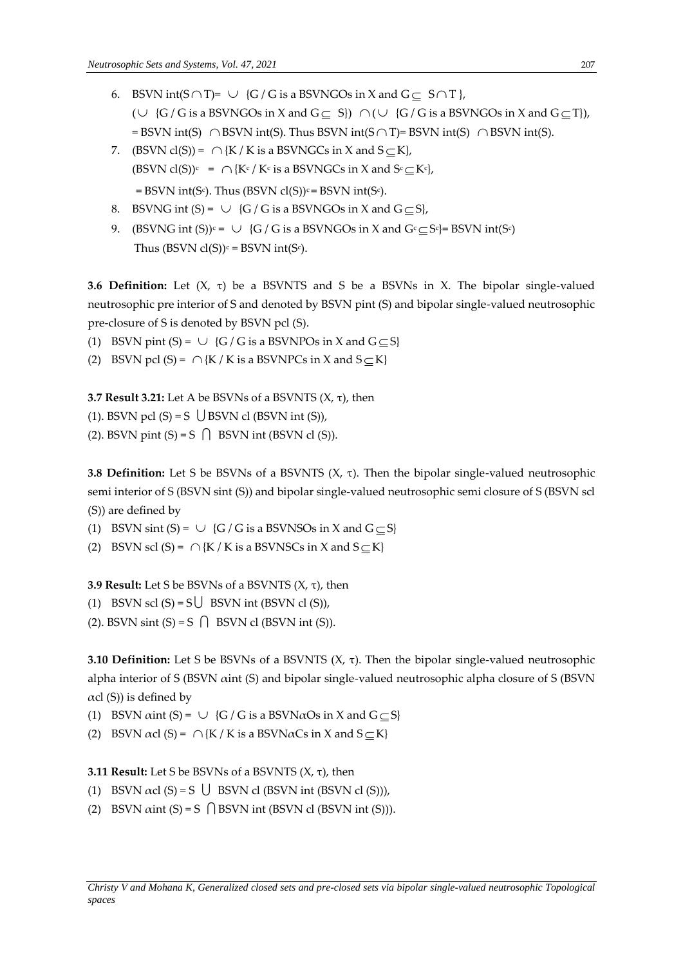- 6. BSVN int( $S \cap T$ )=  $\cup$  {G / G is a BSVNGOs in X and G  $\subseteq$  S  $\cap$  T }, ( $\cup$  {G / G is a BSVNGOs in X and G  $\subseteq$  S})  $\cap$  ( $\cup$  {G / G is a BSVNGOs in X and G  $\subseteq$  T}),  $=$  BSVN int(S)  $\cap$  BSVN int(S). Thus BSVN int(S $\cap$  T)= BSVN int(S)  $\cap$  BSVN int(S).
- 7. (BSVN cl(S)) =  $\bigcap \{K/K \text{ is a BSVNGCs in } X \text{ and } S \subseteq K\}$ , (BSVN cl(S))<sup>c</sup> =  $\bigcap \{ K^c / K^c \text{ is a BSVNGCs in } X \text{ and } S^c \subseteq K^c \}$ ,  $=$  BSVN int(S<sup>c</sup>). Thus (BSVN cl(S))<sup>c</sup> = BSVN int(S<sup>c</sup>).
- 8. BSVNG int  $(S) = \cup \{G/G \text{ is a BSVNGOs in } X \text{ and } G \subseteq S\}$ ,
- 9. (BSVNG int (S))<sup>c</sup> =  $\cup$  {G / G is a BSVNGOs in X and G<sup>c</sup>  $\subseteq$  S<sup>c</sup>}= BSVN int(S<sup>c</sup>) Thus (BSVN  $cl(S)<sup>c</sup> = BSVN$  int(S $c$ ).

**3.6 Definition:** Let (X, τ) be a BSVNTS and S be a BSVNs in X. The bipolar single-valued neutrosophic pre interior of S and denoted by BSVN pint (S) and bipolar single-valued neutrosophic pre-closure of S is denoted by BSVN pcl (S).

- (1) BSVN pint (S) =  $\cup$  {G / G is a BSVNPOs in X and G  $\subseteq$  S}
- (2) BSVN pcl (S) =  $\bigcap \{K / K \text{ is a BSVNPCs in } X \text{ and } S \subseteq K\}$

**3.7 Result 3.21:** Let A be BSVNs of a BSVNTS (X, τ), then

(1). BSVN pcl  $(S) = S \cup BSWN$  cl  $(BSVN$  int  $(S)$ ),

(2). BSVN pint  $(S) = S \cap B$  BSVN int (BSVN cl  $(S)$ ).

**3.8 Definition:** Let S be BSVNs of a BSVNTS  $(X, \tau)$ . Then the bipolar single-valued neutrosophic semi interior of S (BSVN sint (S)) and bipolar single-valued neutrosophic semi closure of S (BSVN scl (S)) are defined by

(1) BSVN sint (S) =  $\cup$  {G / G is a BSVNSOs in X and G  $\subseteq$  S}

(2) BSVN scl (S) =  $\bigcap \{K / K \text{ is a BSVNSCs in } X \text{ and } S \subseteq K\}$ 

**3.9 Result:** Let S be BSVNs of a BSVNTS (X, τ), then

(1) BSVN scl  $(S) = S \cup BSVN$  int (BSVN cl  $(S)$ ),

(2). BSVN sint  $(S) = S \cap B$  BSVN cl (BSVN int  $(S)$ ).

**3.10 Definition:** Let S be BSVNs of a BSVNTS  $(X, \tau)$ . Then the bipolar single-valued neutrosophic alpha interior of S (BSVN αint (S) and bipolar single-valued neutrosophic alpha closure of S (BSVN  $\alpha$ cl (S)) is defined by

(1) BSVN  $\alpha$ int (S) =  $\cup$  {G / G is a BSVN $\alpha$ Os in X and G  $\subseteq$  S}

(2) BSVN  $\alpha$ cl (S) =  $\bigcap$  {K / K is a BSVN $\alpha$ Cs in X and S  $\subseteq$  K}

## **3.11 Result:** Let S be BSVNs of a BSVNTS (X, τ), then

- (1) BSVN  $\alpha$ cl (S) = S  $\bigcup$  BSVN cl (BSVN int (BSVN cl (S))),
- (2) BSVN  $\alpha$ int (S) = S  $\bigcap$  BSVN int (BSVN cl (BSVN int (S))).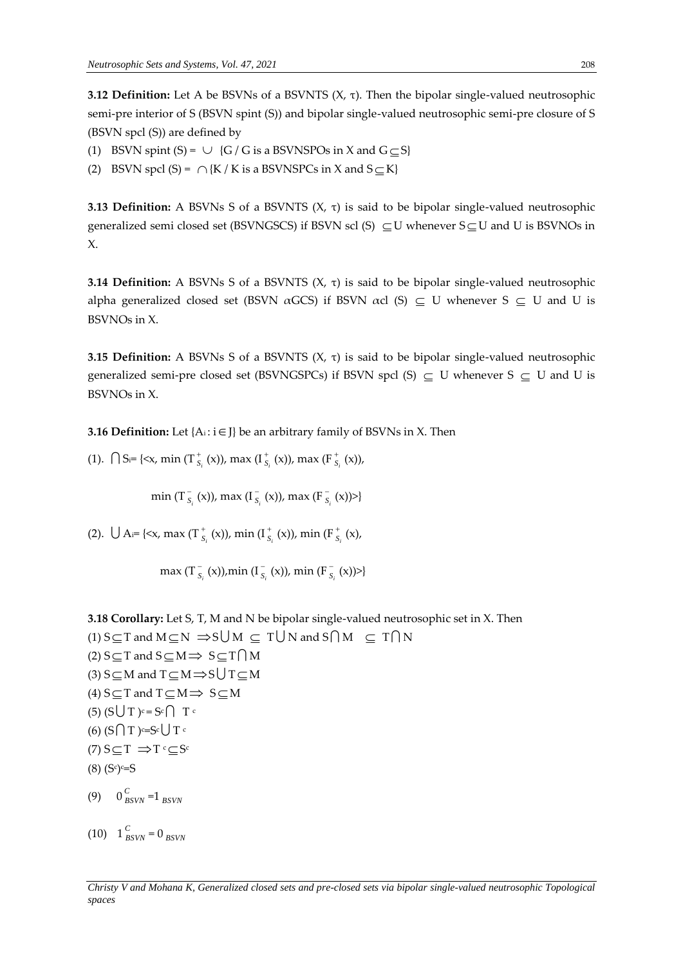**3.12 Definition:** Let A be BSVNs of a BSVNTS (X, τ). Then the bipolar single-valued neutrosophic semi-pre interior of S (BSVN spint (S)) and bipolar single-valued neutrosophic semi-pre closure of S (BSVN spcl (S)) are defined by

- (1) BSVN spint  $(S) = \cup \{G/G \text{ is a BSVNSPOs in } X \text{ and } G \subseteq S\}$
- (2) BSVN spcl (S) =  $\bigcap \{K/K \text{ is a BSVNSPCs in } X \text{ and } S \subseteq K\}$

**3.13 Definition:** A BSVNs S of a BSVNTS (X, τ) is said to be bipolar single-valued neutrosophic generalized semi closed set (BSVNGSCS) if BSVN scl (S)  $\subseteq U$  whenever  $S \subseteq U$  and U is BSVNOs in X.

**3.14 Definition:** A BSVNs S of a BSVNTS (X, τ) is said to be bipolar single-valued neutrosophic alpha generalized closed set (BSVN  $\alpha$ GCS) if BSVN  $\alpha$ cl (S)  $\subseteq$  U whenever S  $\subseteq$  U and U is BSVNOs in X.

**3.15 Definition:** A BSVNs S of a BSVNTS (X, τ) is said to be bipolar single-valued neutrosophic generalized semi-pre closed set (BSVNGSPCs) if BSVN spcl (S)  $\subseteq U$  whenever S  $\subseteq U$  and U is BSVNOs in X.

**3.16 Definition:** Let {A<sub>i</sub>: i ∈ J} be an arbitrary family of BSVNs in X. Then

(1).  $\bigcap$  S<sub>i</sub>= {<x, min (T<sub>s</sub><sup>+</sup>)  $\int_{S_i}^+(x)$ ), max (I $\int_S^+$ *i S* (x)), max (F  $\int_{S_i}^{\tau} (x)$ ,

> min (T $_{S}^{-}$  $\int_{S_i}^{\cdot}$  (x)), max (I $\int_{S_i}^{\cdot}$ *i S* (x)), max (F *i S* (x))>}

(2).  $\bigcup A = \{ \langle x, \max(T_{S}^+) \rangle \}$ <sup>+</sup><sub>S<sub>i</sub></sub> (x)), min (I<sup>+</sup><sub>S</sub> *i S* (x)), min (F  $\int_{S_i}^{\tau} (x)$ ,

> $max(T<sub>s</sub><sup>-</sup>)$  $\bar{s}_{s}$ <sup>(x)</sup>),min (I $\bar{s}$ *i S* (x)), min (F  $\int_{S_i}^{\infty} (x)$

**3.18 Corollary:** Let S, T, M and N be bipolar single-valued neutrosophic set in X. Then (1) S  $\subseteq$  T and M  $\subseteq$  N  $\Rightarrow$  S
U
M  $\subseteq$  T
U
N and S  $\cap$  M  $\subseteq$  T  $\cap$  N (2)  $S \subseteq T$  and  $S \subseteq M \implies S \subseteq T \cap M$ (3) S $\subseteq$ M and T $\subseteq$ M $\Rightarrow$ S $\bigcup$ T $\subseteq$ M (4)  $S \subseteq T$  and  $T \subseteq M \implies S \subseteq M$  $(5)$   $(S \cup T)^{c} = S^{c} \cap T^{c}$ (6) (S $\bigcap$  T ) $c=$ Sc $\bigcup$  T c  $(7) S \subseteq T \implies T^c \subseteq S^c$ (8) (S<sup>c</sup> ) <sup>c</sup>=S (9)  $0^{C}_{B}$  $\sum_{BSVN}$  =1  $_{BSVN}$ 

 $(10)$  1<sup>*C*</sup><sub>*B*</sub>  $\sum_{BSVN}$  = 0  $_{BSVN}$ 

*Christy V and Mohana K, Generalized closed sets and pre-closed sets via bipolar single-valued neutrosophic Topological spaces*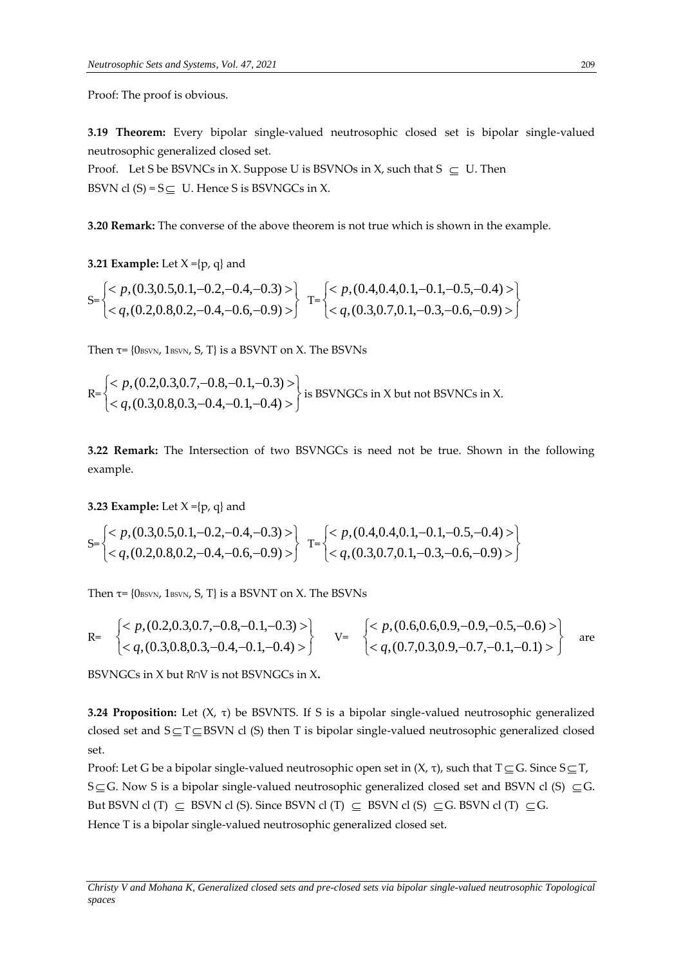Proof: The proof is obvious.

**3.19 Theorem:** Every bipolar single-valued neutrosophic closed set is bipolar single-valued neutrosophic generalized closed set.

Proof. Let S be BSVNCs in X. Suppose U is BSVNOs in X, such that  $S \subseteq U$ . Then BSVN cl  $(S) = S \subseteq U$ . Hence S is BSVNGCs in X.

**3.20 Remark:** The converse of the above theorem is not true which is shown in the example.

**3.21 Example:** Let  $X = \{p, q\}$  and

$$
S = \begin{cases}  \\  \end{cases} \quad T = \begin{cases}  \\  \end{cases}
$$

Then  $\tau$ = {0 $_{\text{BSVN}}$ , 1 $_{\text{BSVN}}$ , S, T} is a BSVNT on X. The BSVNs

$$
\mathsf{R} = \begin{cases} < p, (0.2, 0.3, 0.7, -0.8, -0.1, -0.3) > \\ < q, (0.3, 0.8, 0.3, -0.4, -0.1, -0.4) > \end{cases}
$$
 is BSWNGCs in X but not BSWNCs in X.

**3.22 Remark:** The Intersection of two BSVNGCs is need not be true. Shown in the following example.

**3.23 Example:** Let  $X = \{p, q\}$  and

$$
S = \begin{cases} < p, (0.3, 0.5, 0.1, -0.2, -0.4, -0.3) > \\ < q, (0.2, 0.8, 0.2, -0.4, -0.6, -0.9) > \end{cases} \quad T = \begin{cases} < p, (0.4, 0.4, 0.1, -0.1, -0.5, -0.4) > \\ < q, (0.3, 0.7, 0.1, -0.3, -0.6, -0.9) > \end{cases}
$$

Then  $\tau$ = {0 $_{\text{BSVN}}$ , 1 $_{\text{BSVN}}$ , S, T} is a BSVNT on X. The BSVNs

$$
\begin{array}{ccc}\n\text{R=} & \begin{cases}\n& p, (0.2, 0.3, 0.7, -0.8, -0.1, -0.3) > \\
& < q, (0.3, 0.8, 0.3, -0.4, -0.1, -0.4) > \n\end{cases} & \text{V=} & \begin{cases}\n& p, (0.6, 0.6, 0.9, -0.9, -0.5, -0.6) > \\
& < q, (0.7, 0.3, 0.9, -0.7, -0.1, -0.1) > \n\end{cases} & \text{are}\n\end{array}
$$

BSVNGCs in X but R∩V is not BSVNGCs in X**.**

**3.24 Proposition:** Let (X, τ) be BSVNTS. If S is a bipolar single-valued neutrosophic generalized closed set and  $S \subseteq T \subseteq BSVN$  cl (S) then T is bipolar single-valued neutrosophic generalized closed set.

Proof: Let G be a bipolar single-valued neutrosophic open set in (X, τ), such that T  $\subseteq$  G. Since S  $\subseteq$  T, S $\subseteq$ G. Now S is a bipolar single-valued neutrosophic generalized closed set and BSVN cl (S)  $\subseteq$ G. But BSVN cl (T)  $\subseteq$  BSVN cl (S). Since BSVN cl (T)  $\subseteq$  BSVN cl (S)  $\subseteq$  G. BSVN cl (T)  $\subseteq$  G. Hence T is a bipolar single-valued neutrosophic generalized closed set.

*Christy V and Mohana K, Generalized closed sets and pre-closed sets via bipolar single-valued neutrosophic Topological spaces*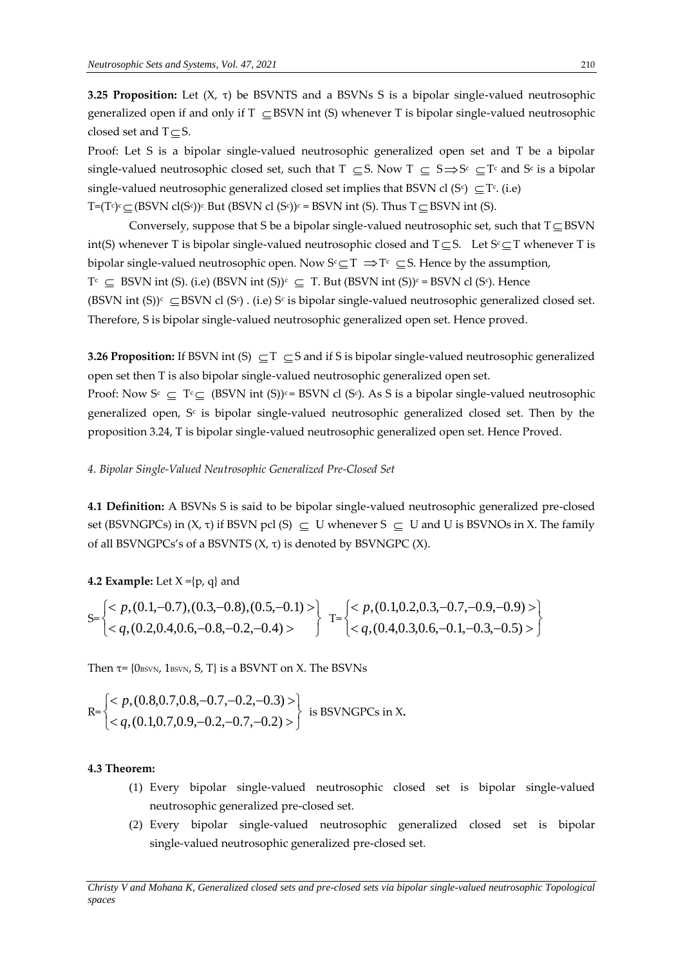**3.25 Proposition:** Let (X, τ) be BSVNTS and a BSVNs S is a bipolar single-valued neutrosophic generalized open if and only if  $T \subseteq BSVN$  int (S) whenever T is bipolar single-valued neutrosophic closed set and  $T \subseteq S$ .

Proof: Let S is a bipolar single-valued neutrosophic generalized open set and T be a bipolar single-valued neutrosophic closed set, such that  $T \subseteq S$ . Now  $T \subseteq S \implies S^c \subseteq T^c$  and  $S^c$  is a bipolar single-valued neutrosophic generalized closed set implies that BSVN cl (S<sup>c</sup>)  $\subseteq$  T<sup>c</sup>. (i.e)  $T=(T^c)^c\subseteq (BSVN \; cl(S^c))^c$ . But  $(BSVN \; cl \; (S^c))^c = BSVN \; int \; (S)$ . Thus  $T\subseteq BSVN \; int \; (S)$ .

Conversely, suppose that S be a bipolar single-valued neutrosophic set, such that  $T \subseteq BSVN$ int(S) whenever T is bipolar single-valued neutrosophic closed and  $T \subseteq S$ . Let  $S^c \subseteq T$  whenever T is bipolar single-valued neutrosophic open. Now  $S^c \subseteq T \implies T^c \subseteq S$ . Hence by the assumption,  $T^c \subseteq BSWN$  int (S). (i.e) (BSVN int (S))<sup>c</sup>  $\subseteq T$ . But (BSVN int (S))<sup>c</sup> = BSVN cl (S<sup>c</sup>). Hence (BSVN int (S))<sup>c</sup>  $\subseteq$  BSVN cl (S<sup>c</sup>). (i.e) S<sup>c</sup> is bipolar single-valued neutrosophic generalized closed set. Therefore, S is bipolar single-valued neutrosophic generalized open set. Hence proved.

**3.26 Proposition:** If BSVN int  $(S) \subseteq T \subseteq S$  and if S is bipolar single-valued neutrosophic generalized open set then T is also bipolar single-valued neutrosophic generalized open set.

Proof: Now  $S^c \subseteq T^c \subseteq (BSVN \text{ int } (S))^c = BSVN \text{ cl } (S^c)$ . As S is a bipolar single-valued neutrosophic generalized open, S<sub>°</sub> is bipolar single-valued neutrosophic generalized closed set. Then by the proposition 3.24, T is bipolar single-valued neutrosophic generalized open set. Hence Proved.

#### *4. Bipolar Single-Valued Neutrosophic Generalized Pre-Closed Set*

**4.1 Definition:** A BSVNs S is said to be bipolar single-valued neutrosophic generalized pre-closed set (BSVNGPCs) in  $(X, \tau)$  if BSVN pcl  $(S) \subseteq U$  whenever  $S \subseteq U$  and U is BSVNOs in X. The family of all BSVNGPCs's of a BSVNTS (X, τ) is denoted by BSVNGPC (X).

#### **4.2 Example:** Let  $X = \{p, q\}$  and

$$
S = \begin{cases} < p, (0.1, -0.7), (0.3, -0.8), (0.5, -0.1) > \\ < q, (0.2, 0.4, 0.6, -0.8, -0.2, -0.4) > \end{cases} \quad T = \begin{cases} < p, (0.1, 0.2, 0.3, -0.7, -0.9, -0.9) > \\ < q, (0.4, 0.3, 0.6, -0.1, -0.3, -0.5) > \end{cases}
$$

Then  $\tau$ = {0 $_{\text{BSVN}}$ , 1 $_{\text{BSVN}}$ , S, T} is a BSVNT on X. The BSVNs

$$
\mathsf{R} = \begin{cases} < p, (0.8, 0.7, 0.8, -0.7, -0.2, -0.3) > \\ < q, (0.1, 0.7, 0.9, -0.2, -0.7, -0.2) > \end{cases} \text{ is BSWNGPCs in X.}
$$

#### **4.3 Theorem:**

- (1) Every bipolar single-valued neutrosophic closed set is bipolar single-valued neutrosophic generalized pre-closed set.
- (2) Every bipolar single-valued neutrosophic generalized closed set is bipolar single-valued neutrosophic generalized pre-closed set.

*Christy V and Mohana K, Generalized closed sets and pre-closed sets via bipolar single-valued neutrosophic Topological spaces*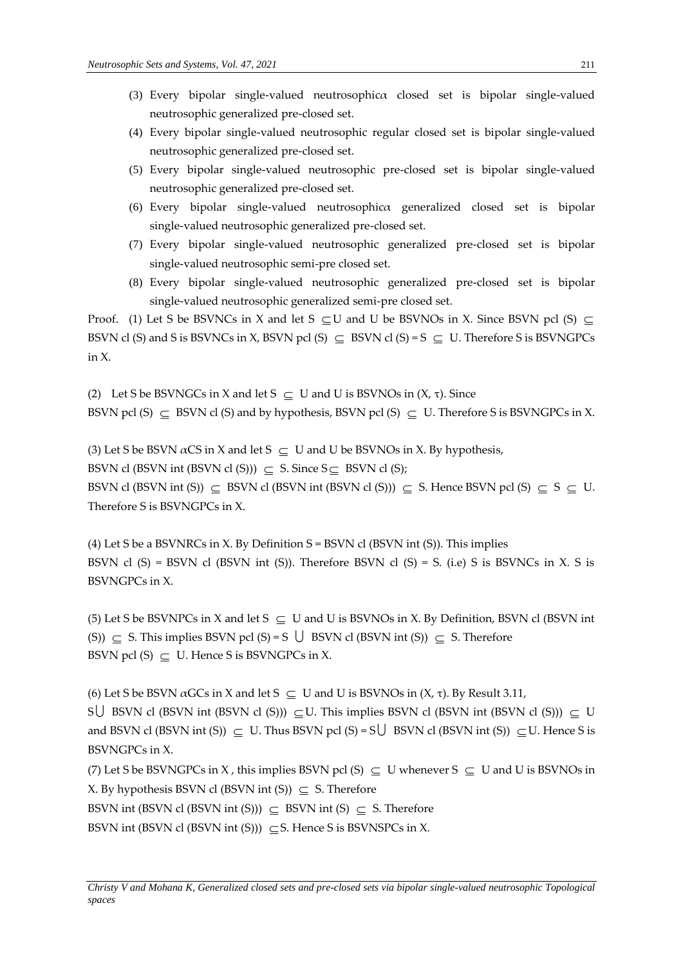- (3) Every bipolar single-valued neutrosophicα closed set is bipolar single-valued neutrosophic generalized pre-closed set.
- (4) Every bipolar single-valued neutrosophic regular closed set is bipolar single-valued neutrosophic generalized pre-closed set.
- (5) Every bipolar single-valued neutrosophic pre-closed set is bipolar single-valued neutrosophic generalized pre-closed set.
- (6) Every bipolar single-valued neutrosophicα generalized closed set is bipolar single-valued neutrosophic generalized pre-closed set.
- (7) Every bipolar single-valued neutrosophic generalized pre-closed set is bipolar single-valued neutrosophic semi-pre closed set.
- (8) Every bipolar single-valued neutrosophic generalized pre-closed set is bipolar single-valued neutrosophic generalized semi-pre closed set.

Proof. (1) Let S be BSVNCs in X and let S  $\subseteq U$  and U be BSVNOs in X. Since BSVN pcl (S)  $\subseteq$ BSVN cl (S) and S is BSVNCs in X, BSVN pcl (S)  $\subseteq$  BSVN cl (S) = S  $\subseteq$  U. Therefore S is BSVNGPCs in X.

(2) Let S be BSVNGCs in X and let  $S \subseteq U$  and U is BSVNOs in  $(X, \tau)$ . Since BSVN pcl (S)  $\subseteq$  BSVN cl (S) and by hypothesis, BSVN pcl (S)  $\subseteq$  U. Therefore S is BSVNGPCs in X.

(3) Let S be BSVN  $\alpha$ CS in X and let S  $\subseteq$  U and U be BSVNOs in X. By hypothesis, BSVN cl (BSVN int (BSVN cl (S)))  $\subseteq S$ . Since  $S \subseteq B$ SVN cl (S); BSVN cl (BSVN int (S))  $\subseteq$  BSVN cl (BSVN int (BSVN cl (S)))  $\subseteq$  S. Hence BSVN pcl (S)  $\subseteq$  S  $\subseteq$  U. Therefore S is BSVNGPCs in X.

(4) Let S be a BSVNRCs in X. By Definition  $S = BSWN$  cl (BSVN int (S)). This implies BSVN cl  $(S)$  = BSVN cl  $(BSWN$  int  $(S)$ ). Therefore BSVN cl  $(S)$  = S. (i.e) S is BSVNCs in X. S is BSVNGPCs in X.

(5) Let S be BSVNPCs in X and let  $S \subseteq U$  and U is BSVNOs in X. By Definition, BSVN cl (BSVN int (S))  $\subseteq$  S. This implies BSVN pcl (S) = S  $\bigcup$  BSVN cl (BSVN int (S))  $\subseteq$  S. Therefore BSVN pcl  $(S) \subseteq U$ . Hence S is BSVNGPCs in X.

(6) Let S be BSVN  $\alpha$ GCs in X and let S  $\subseteq$  U and U is BSVNOs in (X, τ). By Result 3.11,

SU BSVN cl (BSVN int (BSVN cl (S)))  $\subseteq U$ . This implies BSVN cl (BSVN int (BSVN cl (S)))  $\subseteq U$ and BSVN cl (BSVN int (S))  $\subseteq U$ . Thus BSVN pcl (S) = S $\bigcup$  BSVN cl (BSVN int (S))  $\subseteq U$ . Hence S is BSVNGPCs in X.

(7) Let S be BSVNGPCs in X, this implies BSVN pcl (S)  $\subseteq$  U whenever S  $\subseteq$  U and U is BSVNOs in X. By hypothesis BSVN cl (BSVN int  $(S)$ )  $\subseteq S$ . Therefore

BSVN int (BSVN cl (BSVN int (S)))  $\subseteq$  BSVN int (S)  $\subseteq$  S. Therefore

BSVN int (BSVN cl (BSVN int (S)))  $\subseteq$  S. Hence S is BSVNSPCs in X.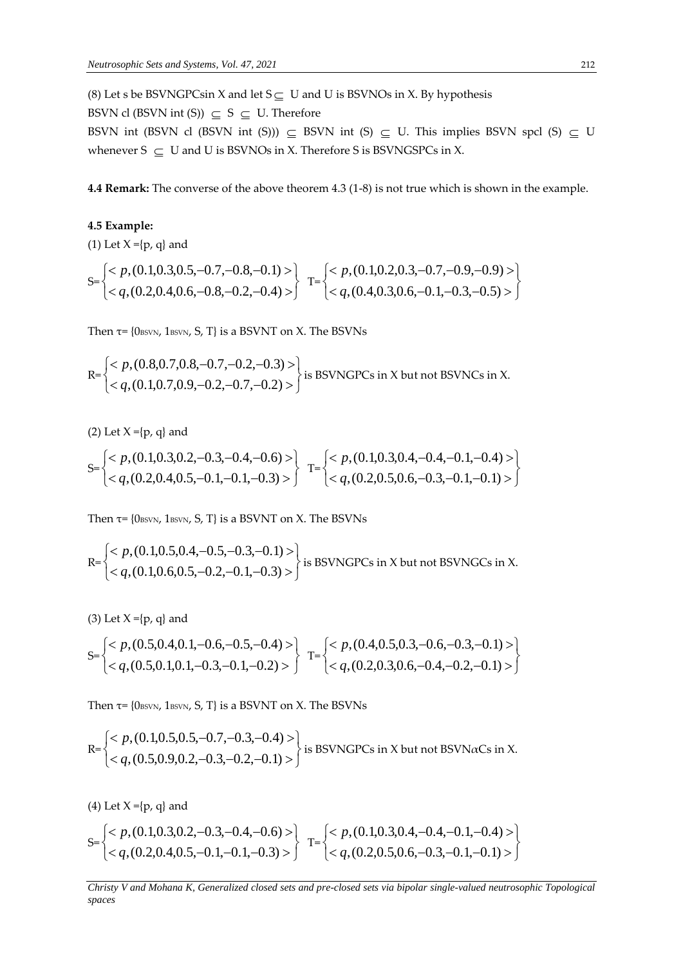(8) Let s be BSVNGPCsin X and let  $S \subseteq U$  and U is BSVNOs in X. By hypothesis

BSVN cl (BSVN int (S))  $\subseteq$  S  $\subseteq$  U. Therefore

BSVN int (BSVN cl (BSVN int (S)))  $\subseteq$  BSVN int (S)  $\subseteq$  U. This implies BSVN spcl (S)  $\subseteq$  U whenever  $S \subseteq U$  and U is BSVNOs in X. Therefore S is BSVNGSPCs in X.

**4.4 Remark:** The converse of the above theorem 4.3 (1-8) is not true which is shown in the example.

### **4.5 Example:**

(1) Let  $X = \{p, q\}$  and

$$
S = \begin{cases} < p, (0.1, 0.3, 0.5, -0.7, -0.8, -0.1) > \\ < q, (0.2, 0.4, 0.6, -0.8, -0.2, -0.4) > \end{cases} \quad T = \begin{cases} < p, (0.1, 0.2, 0.3, -0.7, -0.9, -0.9) > \\ < q, (0.4, 0.3, 0.6, -0.1, -0.3, -0.5) > \end{cases}
$$

Then  $\tau$ = {0 $_{\text{BSVN}}$ , 1 $_{\text{BSVN}}$ , S, T} is a BSVNT on X. The BSVNs

$$
R = \begin{cases}  \\  \end{cases}
$$
 is BSWNGPCs in X but not BSWNCs in X.

(2) Let  $X = \{p, q\}$  and

$$
S = \begin{cases}  \\  \end{cases} \quad T = \begin{cases}  \\  \end{cases}
$$

Then  $\tau$ = {0 $_{\text{BSVN}}$ , 1 $_{\text{BSVN}}$ , S, T} is a BSVNT on X. The BSVNs

$$
R = \begin{cases} < p, (0.1, 0.5, 0.4, -0.5, -0.3, -0.1) > \\ < q, (0.1, 0.6, 0.5, -0.2, -0.1, -0.3) > \end{cases}
$$
 is BSWNGPCs in X but not BSWNGCs in X.

(3) Let  $X = \{p, q\}$  and

$$
S = \begin{cases} < p, (0.5, 0.4, 0.1, -0.6, -0.5, -0.4) > \\ < q, (0.5, 0.1, 0.1, -0.3, -0.1, -0.2) > \end{cases} \quad T = \begin{cases} < p, (0.4, 0.5, 0.3, -0.6, -0.3, -0.1) > \\ < q, (0.2, 0.3, 0.6, -0.4, -0.2, -0.1) > \end{cases}
$$

Then  $\tau$ = {0 $_{\text{BSVN}}$ , 1 $_{\text{BSVN}}$ , S, T} is a BSVNT on X. The BSVNs

$$
\mathsf{R} = \begin{cases} < p, (0.1, 0.5, 0.5, -0.7, -0.3, -0.4) > \\ < q, (0.5, 0.9, 0.2, -0.3, -0.2, -0.1) > \end{cases}
$$
 is BSVNGPCs in X but not BSVNGCs in X.

(4) Let  $X = \{p, q\}$  and

$$
S = \begin{cases}  \\  \end{cases} \quad T = \begin{cases}  \\  \end{cases}
$$

*Christy V and Mohana K, Generalized closed sets and pre-closed sets via bipolar single-valued neutrosophic Topological spaces*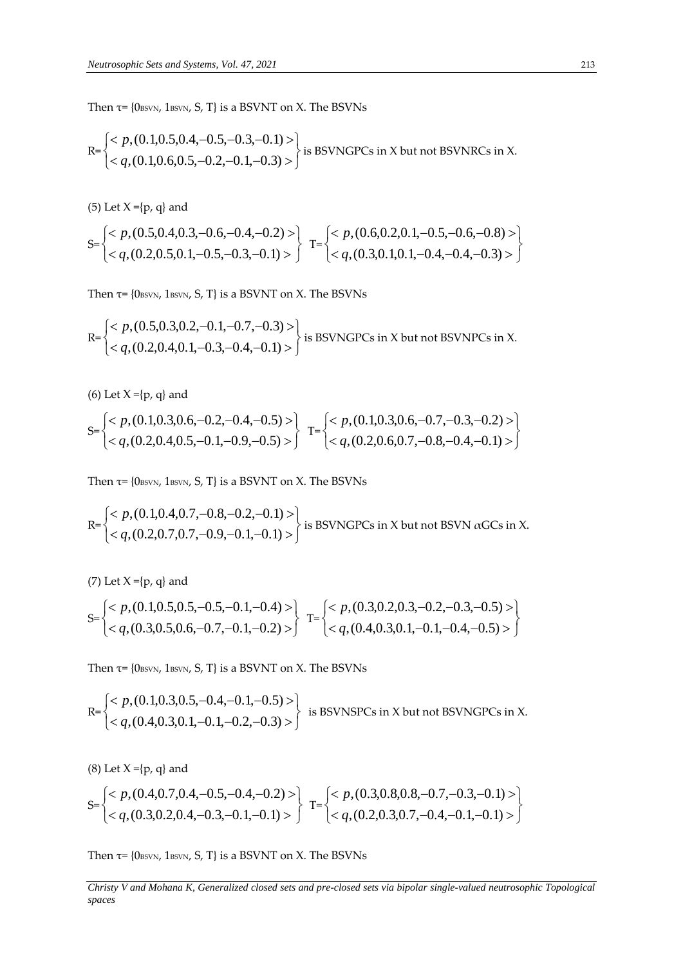Then  $\tau$ = {0BSVN, 1BSVN, S, T} is a BSVNT on X. The BSVNs

$$
R = \begin{cases} < p, (0.1, 0.5, 0.4, -0.5, -0.3, -0.1) > \\ < q, (0.1, 0.6, 0.5, -0.2, -0.1, -0.3) > \end{cases}
$$
 is BSWNGPCs in X but not BSVNRCs in X.

(5) Let  $X = \{p, q\}$  and

$$
S = \begin{cases}  \\  \end{cases} \quad T = \begin{cases}  \\  \end{cases}
$$

Then  $\tau$ = {0 $_{\text{BSVN}}$ , 1 $_{\text{BSVN}}$ , S, T} is a BSVNT on X. The BSVNs

$$
R = \begin{cases}  \\  \end{cases}
$$
 is BSWNGPCs in X but not BSWNPCs in X.

(6) Let  $X = \{p, q\}$  and

$$
S = \begin{cases} < p, (0.1, 0.3, 0.6, -0.2, -0.4, -0.5) > \\ < q, (0.2, 0.4, 0.5, -0.1, -0.9, -0.5) > \end{cases} \quad T = \begin{cases} < p, (0.1, 0.3, 0.6, -0.7, -0.3, -0.2) > \\ < q, (0.2, 0.6, 0.7, -0.8, -0.4, -0.1) > \end{cases}
$$

Then  $\tau$ = {0 $_{\text{BSVN}}$ , 1 $_{\text{BSVN}}$ , S, T} is a BSVNT on X. The BSVNs

$$
R = \begin{cases} < p, (0.1, 0.4, 0.7, -0.8, -0.2, -0.1) > \\ < q, (0.2, 0.7, 0.7, -0.9, -0.1, -0.1) > \end{cases}
$$
 is BSVNGPCs in X but not BSVN  $\alpha$ GCs in X.

(7) Let  $X = \{p, q\}$  and

$$
S = \begin{cases} < p, (0.1, 0.5, 0.5, -0.5, -0.1, -0.4) > \\ < q, (0.3, 0.5, 0.6, -0.7, -0.1, -0.2) > \end{cases} \quad T = \begin{cases} < p, (0.3, 0.2, 0.3, -0.2, -0.3, -0.5) > \\ < q, (0.4, 0.3, 0.1, -0.1, -0.4, -0.5) > \end{cases}
$$

Then  $\tau$ = {0BSVN, 1BSVN, S, T} is a BSVNT on X. The BSVNs

$$
R = \begin{cases}  \\  \end{cases}
$$
 is BSVNSPCs in X but not BSVNGPCs in X.

(8) Let  $X = \{p, q\}$  and

$$
S = \begin{cases} < p, (0.4, 0.7, 0.4, -0.5, -0.4, -0.2) > \\ < q, (0.3, 0.2, 0.4, -0.3, -0.1, -0.1) > \end{cases} \quad T = \begin{cases} < p, (0.3, 0.8, 0.8, -0.7, -0.3, -0.1) > \\ < q, (0.2, 0.3, 0.7, -0.4, -0.1, -0.1) > \end{cases}
$$

Then  $\tau$ = {0 $_{\text{BSVN}}$ , 1 $_{\text{BSVN}}$ , S, T} is a BSVNT on X. The BSVNs

*Christy V and Mohana K, Generalized closed sets and pre-closed sets via bipolar single-valued neutrosophic Topological spaces*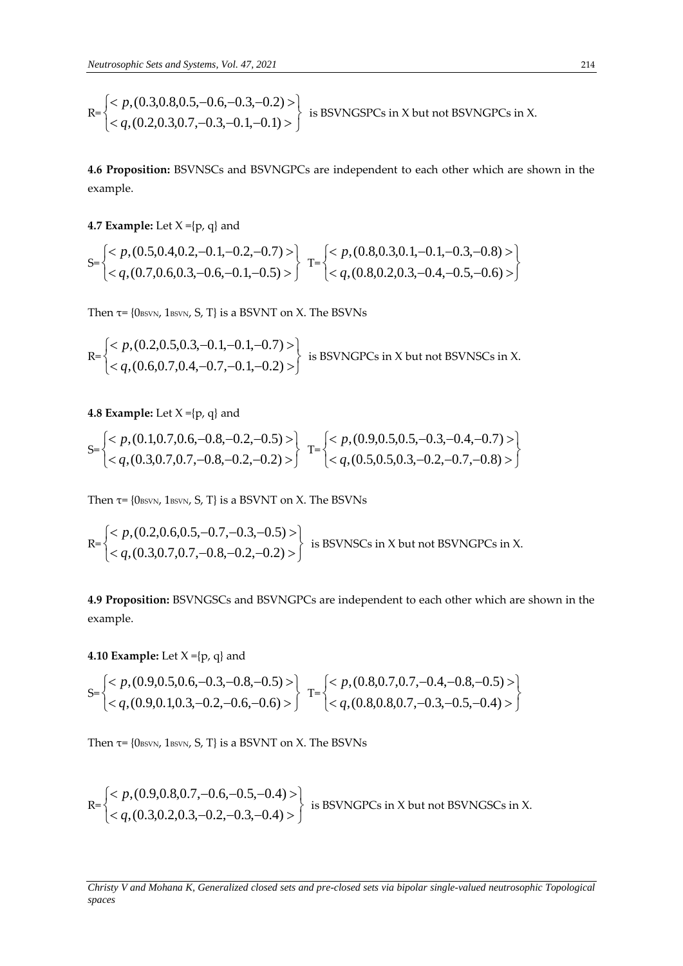$$
\mathsf{R} = \begin{cases} < p, (0.3, 0.8, 0.5, -0.6, -0.3, -0.2) > \\ < q, (0.2, 0.3, 0.7, -0.3, -0.1, -0.1) > \end{cases}
$$
 is BSWNGSPCs in X but not BSWNGPCs in X.

**4.6 Proposition:** BSVNSCs and BSVNGPCs are independent to each other which are shown in the example.

**4.7 Example:** Let  $X = \{p, q\}$  and

$$
S = \begin{cases} < p, (0.5, 0.4, 0.2, -0.1, -0.2, -0.7) > \\ < q, (0.7, 0.6, 0.3, -0.6, -0.1, -0.5) > \end{cases} \quad T = \begin{cases} < p, (0.8, 0.3, 0.1, -0.1, -0.3, -0.8) > \\ < q, (0.8, 0.2, 0.3, -0.4, -0.5, -0.6) > \end{cases}
$$

Then  $\tau$ = {0BSVN, 1BSVN, S, T} is a BSVNT on X. The BSVNs

$$
R = \begin{cases}  \\  \end{cases}
$$
 is BSWNGPCs in X but not BSVNSCs in X.

**4.8 Example:** Let  $X = \{p, q\}$  and

$$
S = \begin{cases} < p, (0.1, 0.7, 0.6, -0.8, -0.2, -0.5) > \\ < q, (0.3, 0.7, 0.7, -0.8, -0.2, -0.2) > \end{cases} \quad T = \begin{cases} < p, (0.9, 0.5, 0.5, -0.3, -0.4, -0.7) > \\ < q, (0.5, 0.5, 0.3, -0.2, -0.7, -0.8) > \end{cases}
$$

Then  $\tau$ = {0BSVN, 1BSVN, S, T} is a BSVNT on X. The BSVNs

$$
\mathbb{R} = \begin{cases} < p, (0.2, 0.6, 0.5, -0.7, -0.3, -0.5) > \\ < q, (0.3, 0.7, 0.7, -0.8, -0.2, -0.2) > \end{cases}
$$
 is BSVNSCs in X but not BSVNGPCs in X.

**4.9 Proposition:** BSVNGSCs and BSVNGPCs are independent to each other which are shown in the example.

**4.10 Example:** Let  $X = \{p, q\}$  and

$$
S = \begin{cases} < p, (0.9, 0.5, 0.6, -0.3, -0.8, -0.5) > \\ < q, (0.9, 0.1, 0.3, -0.2, -0.6, -0.6) > \end{cases} \quad T = \begin{cases} < p, (0.8, 0.7, 0.7, -0.4, -0.8, -0.5) > \\ < q, (0.8, 0.8, 0.7, -0.3, -0.5, -0.4) > \end{cases}
$$

Then  $\tau$ = {0BSVN, 1BSVN, S, T} is a BSVNT on X. The BSVNs

$$
\mathsf{R} = \begin{cases} < p, (0.9, 0.8, 0.7, -0.6, -0.5, -0.4) > \\ < q, (0.3, 0.2, 0.3, -0.2, -0.3, -0.4) > \end{cases}
$$
 is BSVNGPCs in X but not BSVNGSCs in X.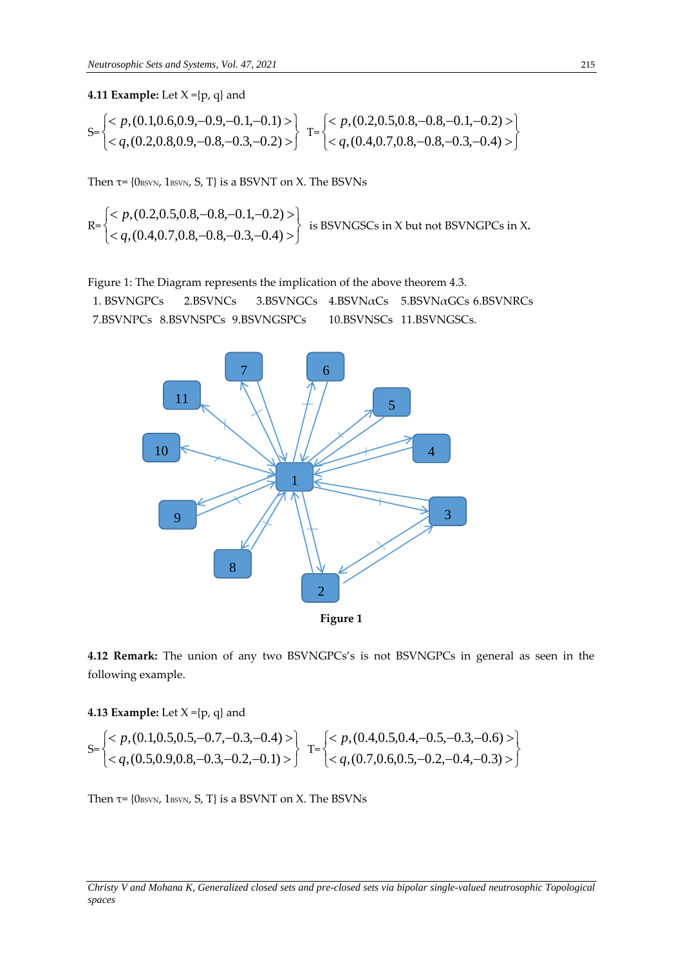**4.11 Example:** Let  $X = \{p, q\}$  and

$$
S = \begin{cases} < p, (0.1, 0.6, 0.9, -0.9, -0.1, -0.1) > \\ < q, (0.2, 0.8, 0.9, -0.8, -0.3, -0.2) > \end{cases} \quad T = \begin{cases} < p, (0.2, 0.5, 0.8, -0.8, -0.1, -0.2) > \\ < q, (0.4, 0.7, 0.8, -0.8, -0.3, -0.4) > \end{cases}
$$

Then  $\tau$ = {0 $_{\text{BSVN}}$ , 1 $_{\text{BSVN}}$ , S, T} is a BSVNT on X. The BSVNs

$$
\mathsf{R} = \begin{cases} < p, (0.2, 0.5, 0.8, -0.8, -0.1, -0.2) > \\ < q, (0.4, 0.7, 0.8, -0.8, -0.3, -0.4) > \end{cases}
$$
 is BSWNGSCs in X but not BSWNGPCs in X.

Figure 1: The Diagram represents the implication of the above theorem 4.3.

1. BSVNGPCs 2.BSVNCs 3.BSVNGCs 4.BSVNaCs 5.BSVNaGCs 6.BSVNRCs 7.BSVNPCs 8.BSVNSPCs 9.BSVNGSPCs 10.BSVNSCs 11.BSVNGSCs.



**4.12 Remark:** The union of any two BSVNGPCs's is not BSVNGPCs in general as seen in the following example.

**4.13 Example:** Let  $X = \{p, q\}$  and

$$
S = \begin{cases}  \\  \end{cases} \quad T = \begin{cases}  \\  \end{cases}
$$

Then  $\tau$ = {0BSVN, 1BSVN, S, T} is a BSVNT on X. The BSVNs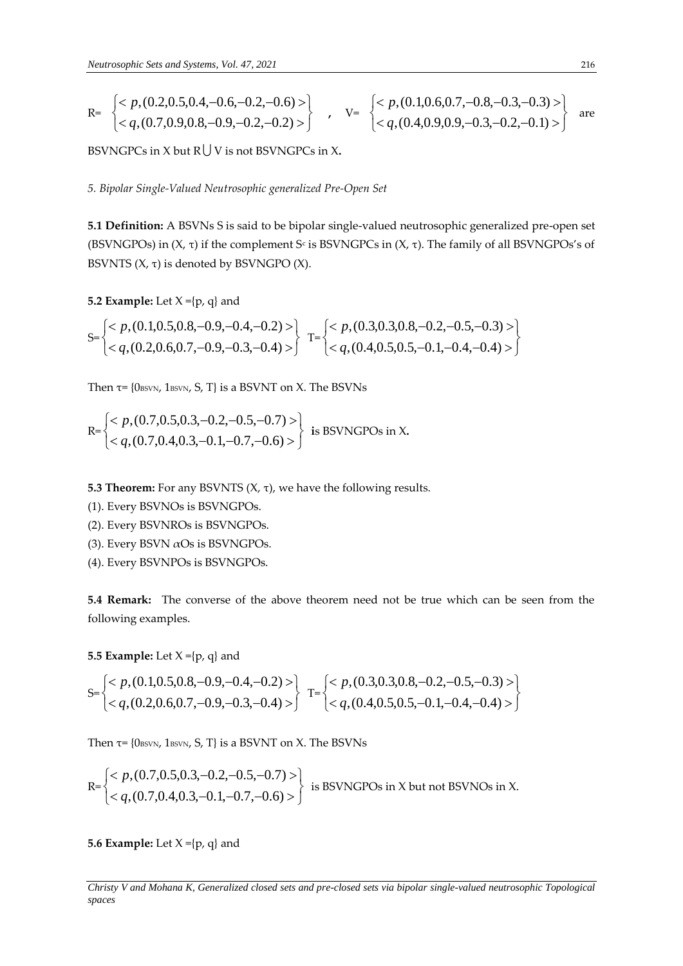$$
\begin{array}{ll}\n\text{R=} & \left\{ < p, (0.2, 0.5, 0.4, -0.6, -0.2, -0.6) > \right\} \\
& < q, (0.7, 0.9, 0.8, -0.9, -0.2, -0.2) > \right\} & \text{v} = & \left\{ < p, (0.1, 0.6, 0.7, -0.8, -0.3, -0.3) > \right\} & \text{are} \\
& < q, (0.4, 0.9, 0.9, -0.3, -0.2, -0.1) > \right\} & \text{are} \\
\end{array}
$$

BSVNGPCs in X but R V is not BSVNGPCs in X**.**

*5. Bipolar Single-Valued Neutrosophic generalized Pre-Open Set*

**5.1 Definition:** A BSVNs S is said to be bipolar single-valued neutrosophic generalized pre-open set (BSVNGPOs) in (X, τ) if the complement S<sup>c</sup> is BSVNGPCs in (X, τ). The family of all BSVNGPOs's of BSVNTS  $(X, \tau)$  is denoted by BSVNGPO  $(X)$ .

**5.2 Example:** Let  $X = \{p, q\}$  and

$$
S = \begin{cases} < p, (0.1, 0.5, 0.8, -0.9, -0.4, -0.2) > \\ < q, (0.2, 0.6, 0.7, -0.9, -0.3, -0.4) > \end{cases} \quad T = \begin{cases} < p, (0.3, 0.3, 0.8, -0.2, -0.5, -0.3) > \\ < q, (0.4, 0.5, 0.5, -0.1, -0.4, -0.4) > \end{cases}
$$

Then  $\tau$ = {0 $_{\text{BSVN}}$ , 1 $_{\text{BSVN}}$ , S, T} is a BSVNT on X. The BSVNs

$$
\mathbb{R} = \begin{cases} < p, (0.7, 0.5, 0.3, -0.2, -0.5, -0.7) > \\ < q, (0.7, 0.4, 0.3, -0.1, -0.7, -0.6) > \end{cases}
$$
 is BSWNGPOS in X.

**5.3 Theorem:** For any BSVNTS (X, τ), we have the following results.

(1). Every BSVNOs is BSVNGPOs.

(2). Every BSVNROs is BSVNGPOs.

- (3). Every BSVN  $\alpha$ Os is BSVNGPOs.
- (4). Every BSVNPOs is BSVNGPOs.

**5.4 Remark:** The converse of the above theorem need not be true which can be seen from the following examples.

**5.5 Example:** Let  $X = \{p, q\}$  and

$$
S = \begin{cases} < p, (0.1, 0.5, 0.8, -0.9, -0.4, -0.2) > \\ < q, (0.2, 0.6, 0.7, -0.9, -0.3, -0.4) > \end{cases} \quad T = \begin{cases} < p, (0.3, 0.3, 0.8, -0.2, -0.5, -0.3) > \\ < q, (0.4, 0.5, 0.5, -0.1, -0.4, -0.4) > \end{cases}
$$

Then  $\tau$ = {0 $_{\text{BSVN}}$ , 1 $_{\text{BSVN}}$ , S, T} is a BSVNT on X. The BSVNs

$$
\mathsf{R} = \begin{cases} < p, (0.7, 0.5, 0.3, -0.2, -0.5, -0.7) > \\ < q, (0.7, 0.4, 0.3, -0.1, -0.7, -0.6) > \end{cases}
$$
 is BSVNGPOS in X but not BSVNOS in X.

**5.6 Example:** Let  $X = \{p, q\}$  and

*Christy V and Mohana K, Generalized closed sets and pre-closed sets via bipolar single-valued neutrosophic Topological spaces*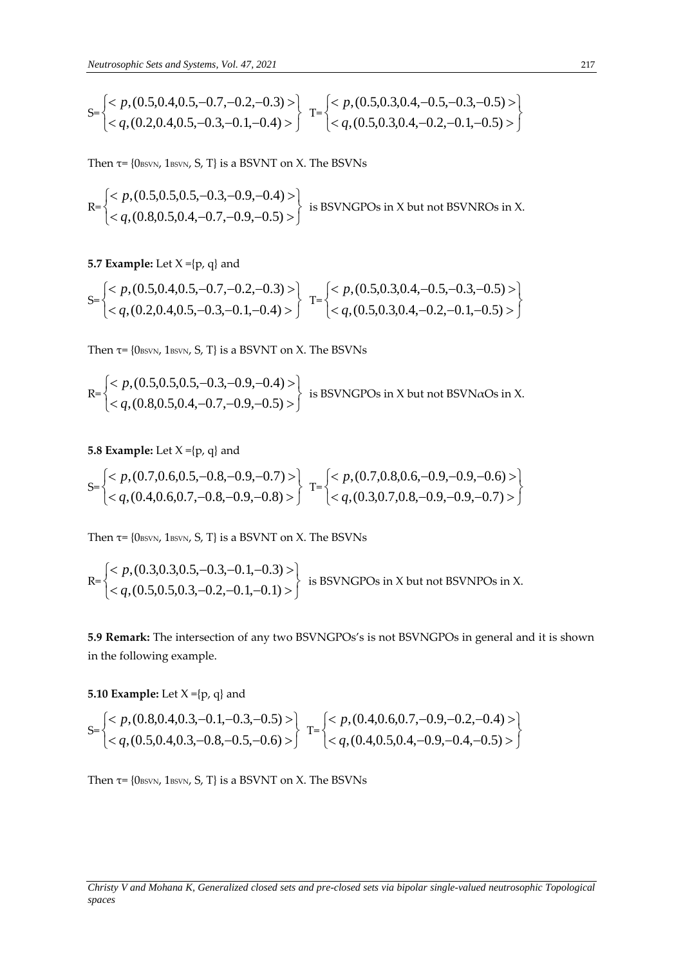$$
S = \begin{cases} < p, (0.5, 0.4, 0.5, -0.7, -0.2, -0.3) > \\ < q, (0.2, 0.4, 0.5, -0.3, -0.1, -0.4) > \end{cases} \quad T = \begin{cases} < p, (0.5, 0.3, 0.4, -0.5, -0.3, -0.5) > \\ < q, (0.5, 0.3, 0.4, -0.2, -0.1, -0.5) > \end{cases}
$$

Then  $\tau$ = {0 $_{\text{BSVN}}$ , 1 $_{\text{BSVN}}$ , S, T} is a BSVNT on X. The BSVNs

$$
R = \begin{cases}  \\  \end{cases}
$$
 is BSWNGPOS in X but not BSVNROs in X.

**5.7 Example:** Let  $X = \{p, q\}$  and

$$
S = \begin{cases} < p, (0.5, 0.4, 0.5, -0.7, -0.2, -0.3) > \\ < q, (0.2, 0.4, 0.5, -0.3, -0.1, -0.4) > \end{cases} \quad T = \begin{cases} < p, (0.5, 0.3, 0.4, -0.5, -0.3, -0.5) > \\ < q, (0.5, 0.3, 0.4, -0.2, -0.1, -0.5) > \end{cases}
$$

Then  $\tau$ = {0 $_{\text{BSVN}}$ , 1 $_{\text{BSVN}}$ , S, T} is a BSVNT on X. The BSVNs

$$
R = \begin{cases}  \\  \end{cases}
$$
 is BSWNGPOS in X but not BSVN*a*Os in X.

### **5.8 Example:** Let  $X = \{p, q\}$  and

$$
S = \begin{cases} < p, (0.7, 0.6, 0.5, -0.8, -0.9, -0.7) > \\ < q, (0.4, 0.6, 0.7, -0.8, -0.9, -0.8) > \end{cases} \quad T = \begin{cases} < p, (0.7, 0.8, 0.6, -0.9, -0.9, -0.6) > \\ < q, (0.3, 0.7, 0.8, -0.9, -0.9, -0.7) > \end{cases}
$$

Then  $\tau$ = {0 $_{\text{BSVN}}$ , 1 $_{\text{BSVN}}$ , S, T} is a BSVNT on X. The BSVNs

$$
\mathsf{R} = \begin{cases} < p, (0.3, 0.3, 0.5, -0.3, -0.1, -0.3) > \\ < q, (0.5, 0.5, 0.3, -0.2, -0.1, -0.1) > \end{cases}
$$
 is BSWNGPOS in X but not BSVNPOS in X.

**5.9 Remark:** The intersection of any two BSVNGPOs's is not BSVNGPOs in general and it is shown in the following example.

**5.10 Example:** Let  $X = \{p, q\}$  and

$$
S = \begin{cases} < p, (0.8, 0.4, 0.3, -0.1, -0.3, -0.5) > \\ < q, (0.5, 0.4, 0.3, -0.8, -0.5, -0.6) > \end{cases} \quad T = \begin{cases} < p, (0.4, 0.6, 0.7, -0.9, -0.2, -0.4) > \\ < q, (0.4, 0.5, 0.4, -0.9, -0.4, -0.5) > \end{cases}
$$

Then  $\tau$ = {0BSVN, 1BSVN, S, T} is a BSVNT on X. The BSVNs

*Christy V and Mohana K, Generalized closed sets and pre-closed sets via bipolar single-valued neutrosophic Topological spaces*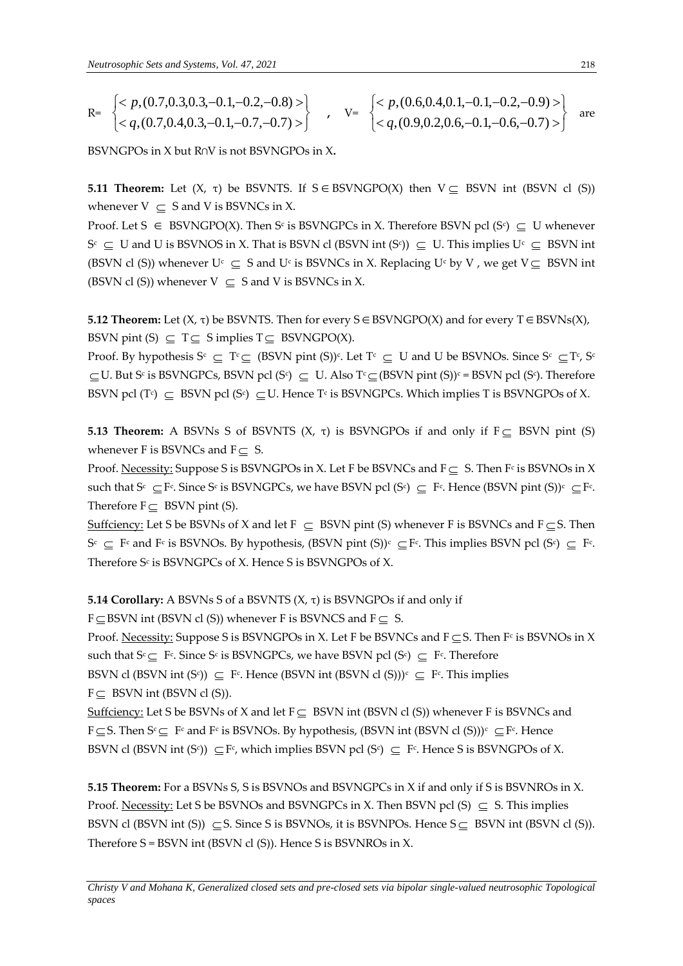$$
\begin{array}{ccc}\n\text{R=} & \begin{cases}\n< p, (0.7, 0.3, 0.3, -0.1, -0.2, -0.8) > \\
< q, (0.7, 0.4, 0.3, -0.1, -0.7, -0.7) > \n\end{cases} & \text{v} = & \begin{cases}\n< p, (0.6, 0.4, 0.1, -0.1, -0.2, -0.9) > \\
< q, (0.9, 0.2, 0.6, -0.1, -0.6, -0.7) > \n\end{cases} & \text{are}\n\end{array}
$$

BSVNGPOs in X but R∩V is not BSVNGPOs in X**.**

**5.11 Theorem:** Let  $(X, \tau)$  be BSVNTS. If  $S \in BSVNGPO(X)$  then  $V \subseteq BSVN$  int (BSVN cl  $(S)$ ) whenever  $V \subseteq S$  and V is BSVNCs in X.

Proof. Let  $S \in BSWNGPO(X)$ . Then S<sup>c</sup> is BSVNGPCs in X. Therefore BSVN pcl (S<sup>c</sup>)  $\subseteq U$  whenever  $S^c \subseteq U$  and U is BSVNOS in X. That is BSVN cl (BSVN int (S<sup>c</sup>))  $\subseteq U$ . This implies  $U^c \subseteq BSWN$  int (BSVN cl (S)) whenever  $U^c \subseteq S$  and  $U^c$  is BSVNCs in X. Replacing  $U^c$  by V, we get  $V \subseteq BSWN$  int (BSVN cl (S)) whenever  $V \subseteq S$  and V is BSVNCs in X.

**5.12 Theorem:** Let  $(X, \tau)$  be BSVNTS. Then for every  $S \in BSVNGPO(X)$  and for every  $T \in BSVNs(X)$ , BSVN pint (S)  $\subseteq T \subseteq S$  implies  $T \subseteq BSWNGPO(X)$ .

Proof. By hypothesis  $S^c \subseteq T^c \subseteq (BSVN \text{ pint } (S))^c$ . Let  $T^c \subseteq U$  and U be BSVNOs. Since  $S^c \subseteq T^c$ ,  $S^c$  $\subseteq$  U. But S<sup>c</sup> is BSVNGPCs, BSVN pcl (S<sup>c</sup>)  $\subseteq$  U. Also T<sup>c</sup> $\subseteq$  (BSVN pint (S))<sup>c</sup> = BSVN pcl (S<sup>c</sup>). Therefore BSVN pcl (T<sup>c</sup>)  $\subseteq$  BSVN pcl (S<sup>c</sup>)  $\subseteq$  U. Hence T<sup>c</sup> is BSVNGPCs. Which implies T is BSVNGPOs of X.

**5.13 Theorem:** A BSVNs S of BSVNTS  $(X, \tau)$  is BSVNGPOs if and only if  $F \subseteq BSWN$  pint  $(S)$ whenever F is BSVNCs and  $F \subseteq S$ .

Proof. <u>Necessity:</u> Suppose S is BSVNGPOs in X. Let F be BSVNCs and  $F \subseteq S$ . Then F<sup>c</sup> is BSVNOs in X such that  $S^c \subseteq F^c$ . Since  $S^c$  is BSVNGPCs, we have BSVN pcl  $(S^c) \subseteq F^c$ . Hence (BSVN pint  $(S))^c \subseteq F^c$ . Therefore  $F \subseteq BSVN$  pint (S).

Suffciency: Let S be BSVNs of X and let  $F \subseteq BSWN$  pint (S) whenever F is BSVNCs and  $F \subseteq S$ . Then  $S^c \subseteq F^c$  and  $F^c$  is BSVNOs. By hypothesis, (BSVN pint (S))<sup>c</sup>  $\subseteq F^c$ . This implies BSVN pcl (S<sup>c</sup>)  $\subseteq F^c$ . Therefore S $\mathop{\rm c}\nolimits$  is BSVNGPCs of X. Hence S is BSVNGPOs of X.

**5.14 Corollary:** A BSVNs S of a BSVNTS (X, τ) is BSVNGPOs if and only if

 $F \subseteq$  BSVN int (BSVN cl (S)) whenever F is BSVNCS and  $F \subseteq S$ .

Proof. Necessity: Suppose S is BSVNGPOs in X. Let F be BSVNCs and  $F \subseteq S$ . Then F<sup>c</sup> is BSVNOs in X such that  $S^c \subseteq F^c$ . Since  $S^c$  is BSVNGPCs, we have BSVN pcl  $(S^c) \subseteq F^c$ . Therefore BSVN cl (BSVN int (S<sup>c</sup>))  $\subseteq$  F<sup>c</sup>. Hence (BSVN int (BSVN cl (S)))<sup>c</sup>  $\subseteq$  F<sup>c</sup>. This implies  $F \subseteq$  BSVN int (BSVN cl (S)).

Suffciency: Let S be BSVNs of X and let  $F \subseteq BSVN$  int (BSVN cl (S)) whenever F is BSVNCs and F  $\subseteq$  S. Then S<sup>c</sup>  $\subseteq$  F<sup>c</sup> and F<sup>c</sup> is BSVNOs. By hypothesis, (BSVN int (BSVN cl (S)))<sup>c</sup>  $\subseteq$  F<sup>c</sup>. Hence BSVN cl (BSVN int (S<sup>c</sup>))  $\subseteq$  F<sup>c</sup>, which implies BSVN pcl (S<sup>c</sup>)  $\subseteq$  F<sup>c</sup>. Hence S is BSVNGPOs of X.

**5.15 Theorem:** For a BSVNs S, S is BSVNOs and BSVNGPCs in X if and only if S is BSVNROs in X. Proof. Necessity: Let S be BSVNOs and BSVNGPCs in X. Then BSVN pcl  $(S) \subseteq S$ . This implies BSVN cl (BSVN int (S))  $\subseteq$  S. Since S is BSVNOs, it is BSVNPOs. Hence  $S \subseteq B$ SVN int (BSVN cl (S)). Therefore S = BSVN int (BSVN cl (S)). Hence S is BSVNROs in X.

*Christy V and Mohana K, Generalized closed sets and pre-closed sets via bipolar single-valued neutrosophic Topological spaces*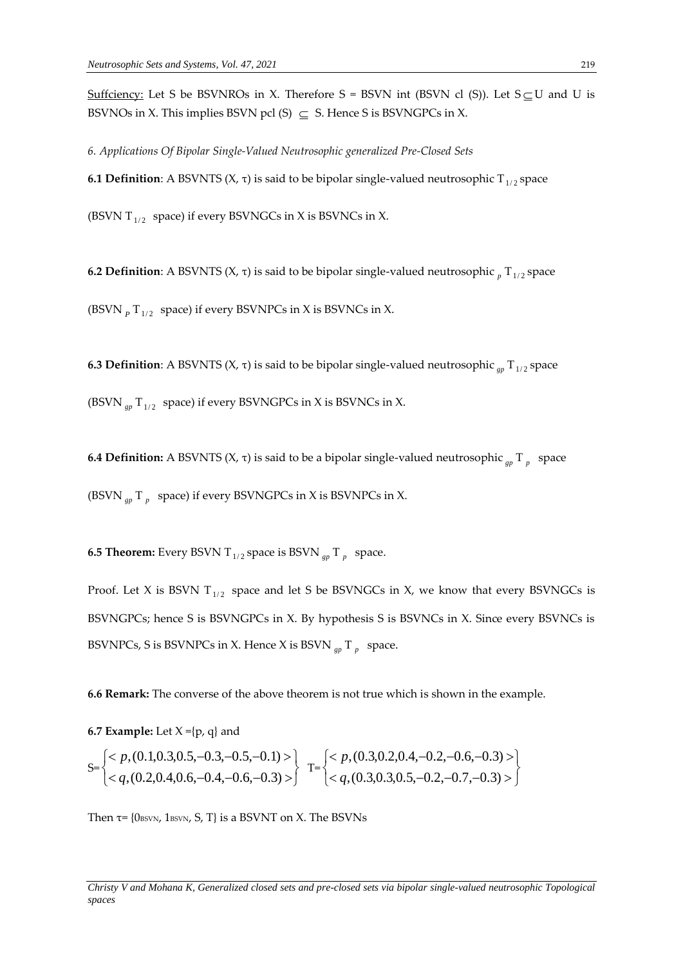Suffciency: Let S be BSVNROs in X. Therefore  $S = BSVN$  int (BSVN cl (S)). Let  $S \subseteq U$  and U is BSVNOs in X. This implies BSVN pcl  $(S) \subseteq S$ . Hence S is BSVNGPCs in X.

*6. Applications Of Bipolar Single-Valued Neutrosophic generalized Pre-Closed Sets* **6.1 Definition**: A BSVNTS (X,  $\tau$ ) is said to be bipolar single-valued neutrosophic T<sub>1/2</sub> space

(BSVN T $_{1/2}$  space) if every BSVNGCs in X is BSVNCs in X.

**6.2 Definition**: A BSVNTS (X, τ) is said to be bipolar single-valued neutrosophic  $_p$  T<sub>1/2</sub> space

(BSVN  $_{P}$  T<sub>1/2</sub> space) if every BSVNPCs in X is BSVNCs in X.

**6.3 Definition**: A BSVNTS (Χ, τ) is said to be bipolar single-valued neutrosophic  $_{gp}$  T<sub>1/2</sub> space

(BSVN  $_{gp}$  T<sub>1/2</sub> space) if every BSVNGPCs in X is BSVNCs in X.

**6.4 Definition:** A BSVNTS (X, τ) is said to be a bipolar single-valued neutrosophic *gp* T *p* space (BSVN  $_{gp}$  T  $_p$  space) if every BSVNGPCs in X is BSVNPCs in X.

**6.5 Theorem:** Every BSVN T  $_{1/2}$  space is BSVN  $_{gp}$  T  $_p$  space.

Proof. Let X is BSVN  $T_{1/2}$  space and let S be BSVNGCs in X, we know that every BSVNGCs is BSVNGPCs; hence S is BSVNGPCs in X. By hypothesis S is BSVNCs in X. Since every BSVNCs is BSVNPCs, S is BSVNPCs in X. Hence X is BSVN *gp* T *p* space.

**6.6 Remark:** The converse of the above theorem is not true which is shown in the example.

**6.7 Example:** Let  $X = \{p, q\}$  and

$$
S = \begin{cases} < p, (0.1, 0.3, 0.5, -0.3, -0.5, -0.1) > \\ < q, (0.2, 0.4, 0.6, -0.4, -0.6, -0.3) > \end{cases} \quad T = \begin{cases} < p, (0.3, 0.2, 0.4, -0.2, -0.6, -0.3) > \\ < q, (0.3, 0.3, 0.5, -0.2, -0.7, -0.3) > \end{cases}
$$

Then  $\tau$ = {0 $_{\text{BSVN}}$ , 1 $_{\text{BSVN}}$ , S, T} is a BSVNT on X. The BSVNs

*Christy V and Mohana K, Generalized closed sets and pre-closed sets via bipolar single-valued neutrosophic Topological spaces*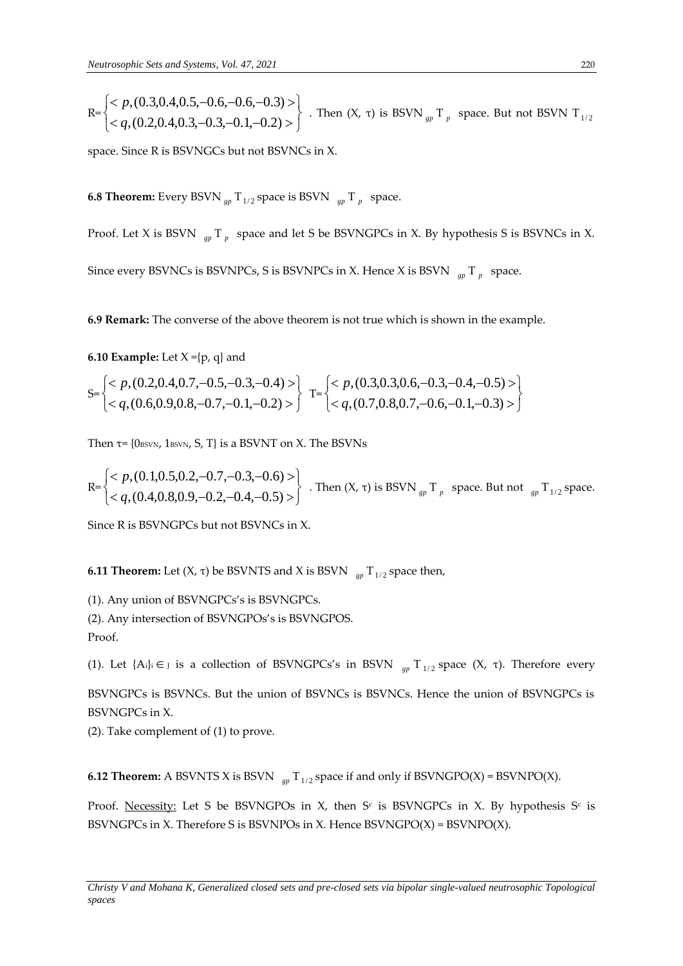$$
R = \begin{cases}  \\  \end{cases}
$$
. Then  $(X, \tau)$  is BSVN<sub>gp</sub>T<sub>p</sub> space. But not BSVN T<sub>1/2</sub>

space. Since R is BSVNGCs but not BSVNCs in X.

**6.8 Theorem:** Every BSVN  $_{gp}$  T<sub>1/2</sub> space is BSVN  $_{gp}$  T  $_p$  space.

Proof. Let X is BSVN  $_{gp}$  T<sub>p</sub> space and let S be BSVNGPCs in X. By hypothesis S is BSVNCs in X.

Since every BSVNCs is BSVNPCs, S is BSVNPCs in X. Hence X is BSVN *gp* T *p* space.

**6.9 Remark:** The converse of the above theorem is not true which is shown in the example.

**6.10 Example:** Let  $X = \{p, q\}$  and

$$
S = \begin{cases} < p, (0.2, 0.4, 0.7, -0.5, -0.3, -0.4) > \\ < q, (0.6, 0.9, 0.8, -0.7, -0.1, -0.2) > \end{cases} \quad T = \begin{cases} < p, (0.3, 0.3, 0.6, -0.3, -0.4, -0.5) > \\ < q, (0.7, 0.8, 0.7, -0.6, -0.1, -0.3) > \end{cases}
$$

Then  $\tau$ = {0 $_{\text{BSVN}}$ , 1 $_{\text{BSVN}}$ , S, T} is a BSVNT on X. The BSVNs

$$
\text{R=}\begin{cases} < p, (0.1, 0.5, 0.2, -0.7, -0.3, -0.6) > \\ < q, (0.4, 0.8, 0.9, -0.2, -0.4, -0.5) > \end{cases} \text{ . Then } (X, \tau) \text{ is BSVN}_{gp} \text{ } T_p \text{ } \text{ space. But not } \text{ } \lim_{gp} T_{1/2} \text{ space.}
$$

Since R is BSVNGPCs but not BSVNCs in X.

**6.11 Theorem:** Let (Χ, τ) be BSVNTS and X is BSVN  $\frac{1}{gp}$  T<sub>1/2</sub> space then,

(1). Any union of BSVNGPCs's is BSVNGPCs.

(2). Any intersection of BSVNGPOs's is BSVNGPOS.

Proof.

(1). Let  ${A_i}_i \in J$  is a collection of BSVNGPCs's in BSVN  $_{gp} T_{1/2}$  space  $(X, \tau)$ . Therefore every

BSVNGPCs is BSVNCs. But the union of BSVNCs is BSVNCs. Hence the union of BSVNGPCs is BSVNGPCs in X.

(2). Take complement of (1) to prove.

**6.12 Theorem:** A BSVNTS X is BSVN  $\int_{gp} T_{1/2}$  space if and only if BSVNGPO(X) = BSVNPO(X).

Proof. <u>Necessity:</u> Let S be BSVNGPOs in X, then S<sup>c</sup> is BSVNGPCs in X. By hypothesis S<sup>c</sup> is BSVNGPCs in X. Therefore S is BSVNPOs in X. Hence BSVNGPO(X) = BSVNPO(X).

*Christy V and Mohana K, Generalized closed sets and pre-closed sets via bipolar single-valued neutrosophic Topological spaces*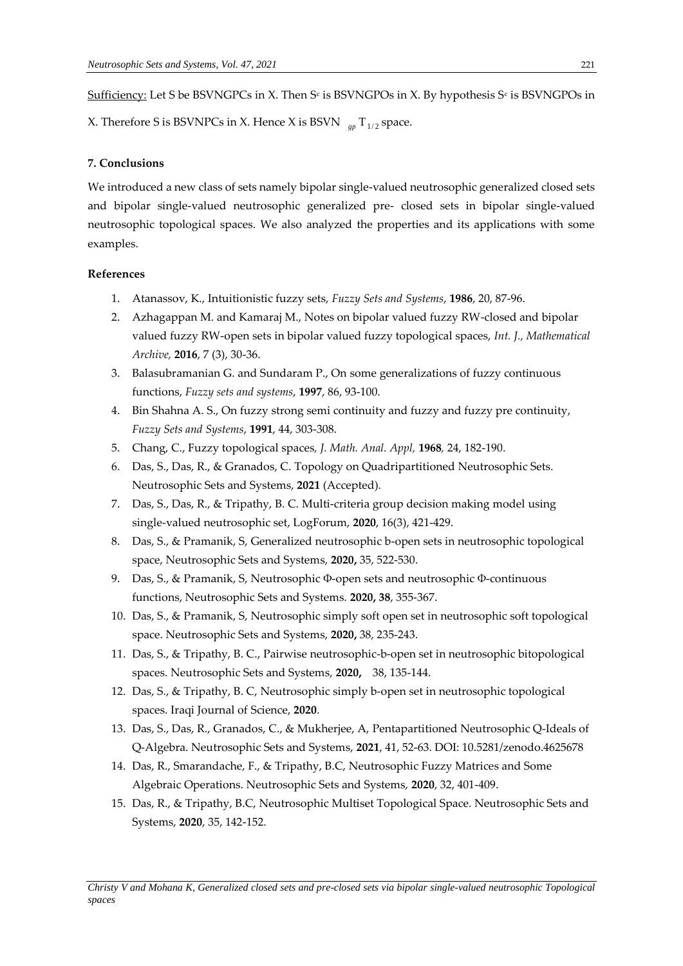${\rm Sufficiency:}$  Let S be BSVNGPCs in X. Then S<sup>c</sup> is BSVNGPOs in X. By hypothesis S<sup>c</sup> is BSVNGPOs in

X. Therefore S is BSVNPCs in X. Hence X is BSVN  $\int_{\mathcal{B}^p} \mathrm{T}_{1/2}$  space.

### **7. Conclusions**

We introduced a new class of sets namely bipolar single-valued neutrosophic generalized closed sets and bipolar single-valued neutrosophic generalized pre- closed sets in bipolar single-valued neutrosophic topological spaces. We also analyzed the properties and its applications with some examples.

### **References**

- 1. Atanassov, K., Intuitionistic fuzzy sets, *Fuzzy Sets and Systems*, **1986**, 20, 87-96.
- 2. Azhagappan M. and Kamaraj M., Notes on bipolar valued fuzzy RW-closed and bipolar valued fuzzy RW-open sets in bipolar valued fuzzy topological spaces, *Int. J., Mathematical Archive,* **2016**, 7 (3), 30-36.
- 3. Balasubramanian G. and Sundaram P., On some generalizations of fuzzy continuous functions, *Fuzzy sets and systems*, **1997**, 86, 93-100.
- 4. Bin Shahna A. S., On fuzzy strong semi continuity and fuzzy and fuzzy pre continuity, *Fuzzy Sets and Systems*, **1991**, 44, 303-308.
- 5. Chang, C., Fuzzy topological spaces*, J. Math. Anal. Appl,* **1968***,* 24, 182-190.
- 6. Das, S., Das, R., & Granados, C. Topology on Quadripartitioned Neutrosophic Sets. Neutrosophic Sets and Systems, **2021** (Accepted).
- 7. Das, S., Das, R., & Tripathy, B. C. Multi-criteria group decision making model using single-valued neutrosophic set, LogForum, **2020**, 16(3), 421-429.
- 8. Das, S., & Pramanik, S, Generalized neutrosophic b-open sets in neutrosophic topological space, Neutrosophic Sets and Systems, **2020,** 35, 522-530.
- 9. Das, S., & Pramanik, S, Neutrosophic Φ-open sets and neutrosophic Φ-continuous functions, Neutrosophic Sets and Systems. **2020, 38**, 355-367.
- 10. Das, S., & Pramanik, S, Neutrosophic simply soft open set in neutrosophic soft topological space. Neutrosophic Sets and Systems, **2020,** 38, 235-243.
- 11. Das, S., & Tripathy, B. C., Pairwise neutrosophic-b-open set in neutrosophic bitopological spaces. Neutrosophic Sets and Systems, **2020,** 38, 135-144.
- 12. Das, S., & Tripathy, B. C, Neutrosophic simply b-open set in neutrosophic topological spaces. Iraqi Journal of Science, **2020**.
- 13. Das, S., Das, R., Granados, C., & Mukherjee, A, Pentapartitioned Neutrosophic Q-Ideals of Q-Algebra. Neutrosophic Sets and Systems, **2021**, 41, 52-63. DOI: 10.5281/zenodo.4625678
- 14. Das, R., Smarandache, F., & Tripathy, B.C, Neutrosophic Fuzzy Matrices and Some Algebraic Operations. Neutrosophic Sets and Systems, **2020**, 32, 401-409.
- 15. Das, R., & Tripathy, B.C, Neutrosophic Multiset Topological Space. Neutrosophic Sets and Systems, **2020**, 35, 142-152.

*Christy V and Mohana K, Generalized closed sets and pre-closed sets via bipolar single-valued neutrosophic Topological spaces*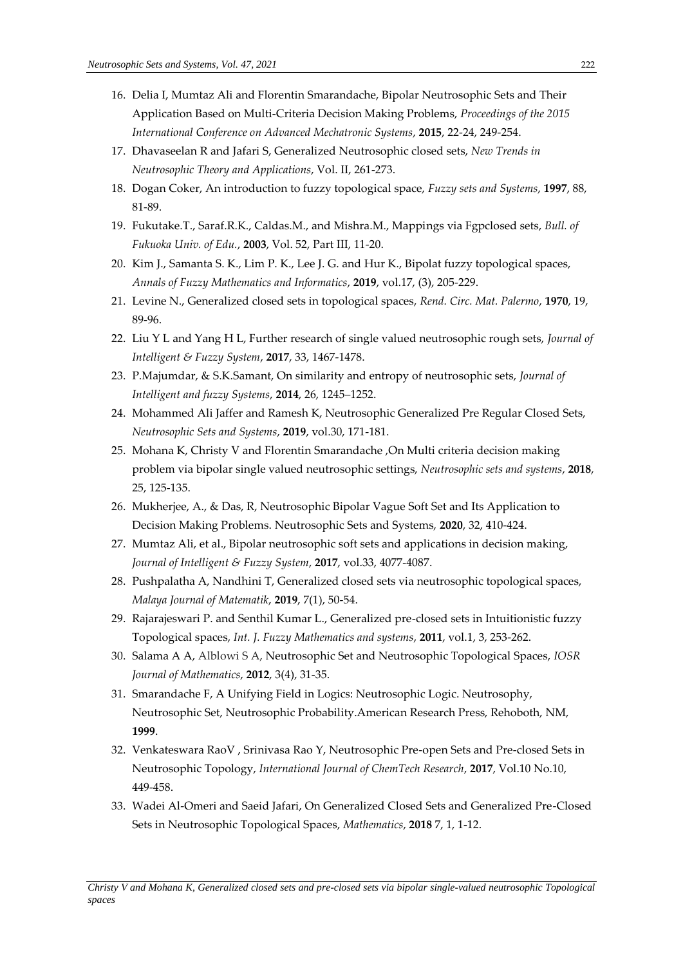- 16. Delia I, Mumtaz Ali and Florentin Smarandache, Bipolar Neutrosophic Sets and Their Application Based on Multi-Criteria Decision Making Problems, *Proceedings of the 2015 International Conference on Advanced Mechatronic Systems*, **2015**, 22-24, 249-254.
- 17. Dhavaseelan R and Jafari S, Generalized Neutrosophic closed sets, *New Trends in Neutrosophic Theory and Applications*, Vol. II, 261-273.
- 18. Dogan Coker, An introduction to fuzzy topological space, *Fuzzy sets and Systems*, **1997**, 88, 81-89.
- 19. Fukutake.T., Saraf.R.K., Caldas.M., and Mishra.M., Mappings via Fgpclosed sets, *Bull. of Fukuoka Univ. of Edu.*, **2003**, Vol. 52, Part III, 11-20.
- 20. Kim J., Samanta S. K., Lim P. K., Lee J. G. and Hur K., Bipolat fuzzy topological spaces, *Annals of Fuzzy Mathematics and Informatics*, **2019**, vol.17, (3), 205-229.
- 21. Levine N., Generalized closed sets in topological spaces, *Rend. Circ. Mat. Palermo*, **1970**, 19, 89-96.
- 22. Liu Y L and Yang H L, Further research of single valued neutrosophic rough sets, *Journal of Intelligent & Fuzzy System*, **2017**, 33, 1467-1478.
- 23. P.Majumdar, & S.K.Samant, On similarity and entropy of neutrosophic sets, *Journal of Intelligent and fuzzy Systems*, **2014**, 26, 1245–1252.
- 24. Mohammed Ali Jaffer and Ramesh K, Neutrosophic Generalized Pre Regular Closed Sets, *Neutrosophic Sets and Systems*, **2019**, vol.30, 171-181.
- 25. Mohana K, Christy V and Florentin Smarandache ,On Multi criteria decision making problem via bipolar single valued neutrosophic settings, *Neutrosophic sets and systems*, **2018**, 25, 125-135.
- 26. Mukherjee, A., & Das, R, Neutrosophic Bipolar Vague Soft Set and Its Application to Decision Making Problems. Neutrosophic Sets and Systems, **2020**, 32, 410-424.
- 27. Mumtaz Ali, et al., Bipolar neutrosophic soft sets and applications in decision making, *Journal of Intelligent & Fuzzy System*, **2017**, vol.33, 4077-4087.
- 28. Pushpalatha A, Nandhini T, Generalized closed sets via neutrosophic topological spaces, *Malaya Journal of Matematik*, **2019**, 7(1), 50-54.
- 29. Rajarajeswari P. and Senthil Kumar L., Generalized pre-closed sets in Intuitionistic fuzzy Topological spaces, *Int. J. Fuzzy Mathematics and systems*, **2011**, vol.1, 3, 253-262.
- 30. Salama A A, Alblowi S A, Neutrosophic Set and Neutrosophic Topological Spaces, *IOSR Journal of Mathematics*, **2012**, 3(4), 31-35.
- 31. Smarandache F, A Unifying Field in Logics: Neutrosophic Logic. Neutrosophy, Neutrosophic Set, Neutrosophic Probability.American Research Press, Rehoboth, NM, **1999**.
- 32. Venkateswara RaoV , Srinivasa Rao Y, Neutrosophic Pre-open Sets and Pre-closed Sets in Neutrosophic Topology, *International Journal of ChemTech Research*, **2017**, Vol.10 No.10, 449-458.
- 33. Wadei Al-Omeri and Saeid Jafari, On Generalized Closed Sets and Generalized Pre-Closed Sets in Neutrosophic Topological Spaces, *Mathematics*, **2018** 7, 1, 1-12.

*Christy V and Mohana K, Generalized closed sets and pre-closed sets via bipolar single-valued neutrosophic Topological spaces*